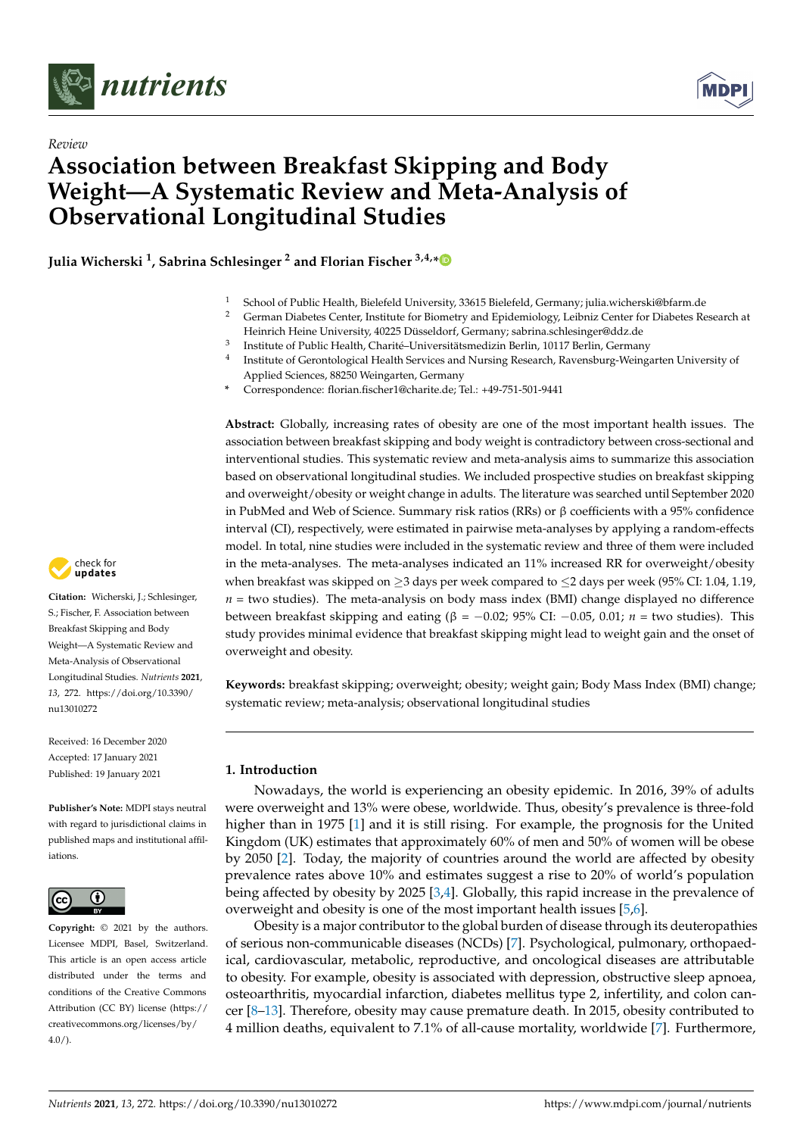



# *Review* **Association between Breakfast Skipping and Body Weight—A Systematic Review and Meta-Analysis of Observational Longitudinal Studies**

**Julia Wicherski <sup>1</sup> , Sabrina Schlesinger <sup>2</sup> and Florian Fischer 3,4,[\\*](https://orcid.org/0000-0002-4388-1245)**

- <sup>1</sup> School of Public Health, Bielefeld University, 33615 Bielefeld, Germany; julia.wicherski@bfarm.de<br><sup>2</sup> Cerman Diabetes Center Institute for Biometry and Epidemiology Leibniz Center for Diabetes Re
- <sup>2</sup> German Diabetes Center, Institute for Biometry and Epidemiology, Leibniz Center for Diabetes Research at Heinrich Heine University, 40225 Düsseldorf, Germany; sabrina.schlesinger@ddz.de
- <sup>3</sup> Institute of Public Health, Charité–Universitätsmedizin Berlin, 10117 Berlin, Germany
- 4 Institute of Gerontological Health Services and Nursing Research, Ravensburg-Weingarten University of Applied Sciences, 88250 Weingarten, Germany
- **\*** Correspondence: florian.fischer1@charite.de; Tel.: +49-751-501-9441

**Abstract:** Globally, increasing rates of obesity are one of the most important health issues. The association between breakfast skipping and body weight is contradictory between cross-sectional and interventional studies. This systematic review and meta-analysis aims to summarize this association based on observational longitudinal studies. We included prospective studies on breakfast skipping and overweight/obesity or weight change in adults. The literature was searched until September 2020 in PubMed and Web of Science. Summary risk ratios (RRs) or  $\beta$  coefficients with a 95% confidence interval (CI), respectively, were estimated in pairwise meta-analyses by applying a random-effects model. In total, nine studies were included in the systematic review and three of them were included in the meta-analyses. The meta-analyses indicated an 11% increased RR for overweight/obesity when breakfast was skipped on  $\geq$ 3 days per week compared to  $\leq$ 2 days per week (95% CI: 1.04, 1.19,  $n =$  two studies). The meta-analysis on body mass index (BMI) change displayed no difference between breakfast skipping and eating (β = −0.02; 95% CI: −0.05, 0.01; *n* = two studies). This study provides minimal evidence that breakfast skipping might lead to weight gain and the onset of overweight and obesity.

**Keywords:** breakfast skipping; overweight; obesity; weight gain; Body Mass Index (BMI) change; systematic review; meta-analysis; observational longitudinal studies

#### **1. Introduction**

Nowadays, the world is experiencing an obesity epidemic. In 2016, 39% of adults were overweight and 13% were obese, worldwide. Thus, obesity's prevalence is three-fold higher than in 1975 [\[1\]](#page-14-0) and it is still rising. For example, the prognosis for the United Kingdom (UK) estimates that approximately 60% of men and 50% of women will be obese by 2050 [\[2\]](#page-14-1). Today, the majority of countries around the world are affected by obesity prevalence rates above 10% and estimates suggest a rise to 20% of world's population being affected by obesity by 2025 [\[3,](#page-14-2)[4\]](#page-14-3). Globally, this rapid increase in the prevalence of overweight and obesity is one of the most important health issues [\[5](#page-14-4)[,6\]](#page-14-5).

Obesity is a major contributor to the global burden of disease through its deuteropathies of serious non-communicable diseases (NCDs) [\[7\]](#page-15-0). Psychological, pulmonary, orthopaedical, cardiovascular, metabolic, reproductive, and oncological diseases are attributable to obesity. For example, obesity is associated with depression, obstructive sleep apnoea, osteoarthritis, myocardial infarction, diabetes mellitus type 2, infertility, and colon cancer [\[8](#page-15-1)[–13\]](#page-15-2). Therefore, obesity may cause premature death. In 2015, obesity contributed to 4 million deaths, equivalent to 7.1% of all-cause mortality, worldwide [\[7\]](#page-15-0). Furthermore,



**Citation:** Wicherski, J.; Schlesinger, S.; Fischer, F. Association between Breakfast Skipping and Body Weight—A Systematic Review and Meta-Analysis of Observational Longitudinal Studies. *Nutrients* **2021**, *13*, 272. [https://doi.org/10.3390/](https://doi.org/10.3390/nu13010272) [nu13010272](https://doi.org/10.3390/nu13010272)

Received: 16 December 2020 Accepted: 17 January 2021 Published: 19 January 2021

**Publisher's Note:** MDPI stays neutral with regard to jurisdictional claims in published maps and institutional affiliations.



**Copyright:** © 2021 by the authors. Licensee MDPI, Basel, Switzerland. This article is an open access article distributed under the terms and conditions of the Creative Commons Attribution (CC BY) license (https:/[/](https://creativecommons.org/licenses/by/4.0/) [creativecommons.org/licenses/by/](https://creativecommons.org/licenses/by/4.0/)  $4.0/$ ).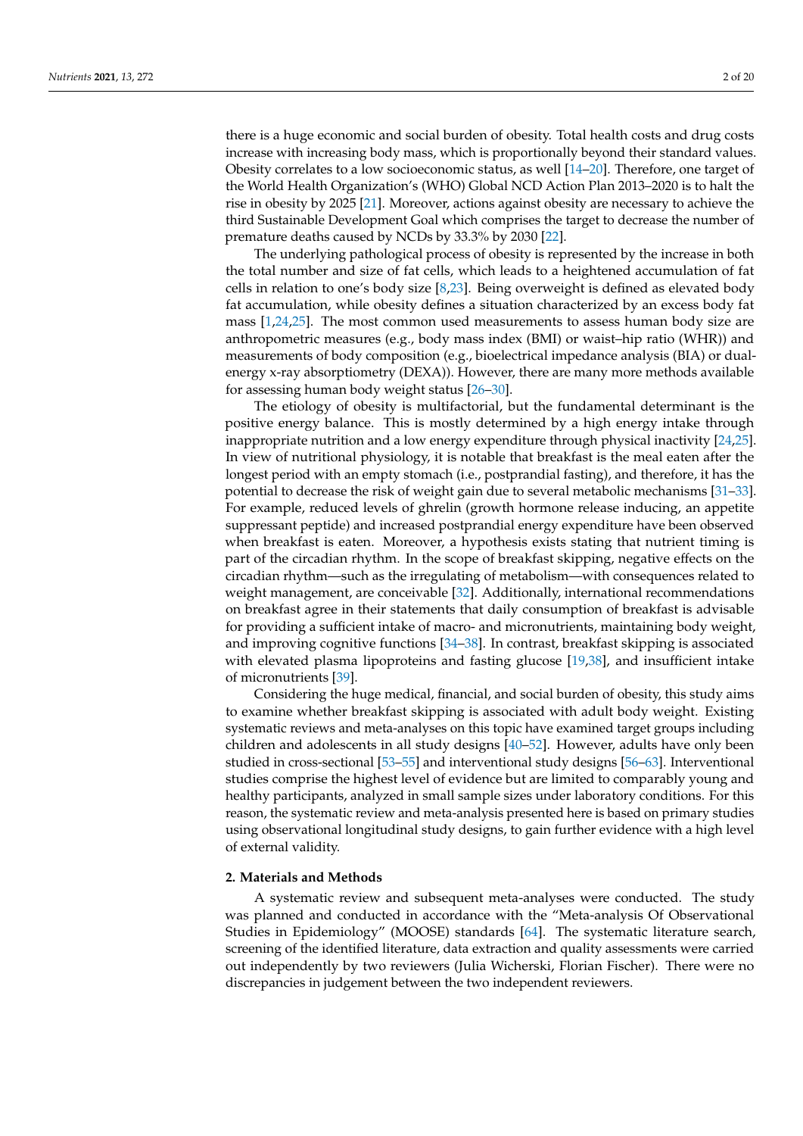there is a huge economic and social burden of obesity. Total health costs and drug costs increase with increasing body mass, which is proportionally beyond their standard values. Obesity correlates to a low socioeconomic status, as well [\[14](#page-15-3)[–20\]](#page-15-4). Therefore, one target of the World Health Organization's (WHO) Global NCD Action Plan 2013–2020 is to halt the rise in obesity by 2025 [\[21\]](#page-15-5). Moreover, actions against obesity are necessary to achieve the third Sustainable Development Goal which comprises the target to decrease the number of premature deaths caused by NCDs by 33.3% by 2030 [\[22\]](#page-15-6).

The underlying pathological process of obesity is represented by the increase in both the total number and size of fat cells, which leads to a heightened accumulation of fat cells in relation to one's body size [\[8,](#page-15-1)[23\]](#page-15-7). Being overweight is defined as elevated body fat accumulation, while obesity defines a situation characterized by an excess body fat mass [\[1,](#page-14-0)[24,](#page-15-8)[25\]](#page-15-9). The most common used measurements to assess human body size are anthropometric measures (e.g., body mass index (BMI) or waist–hip ratio (WHR)) and measurements of body composition (e.g., bioelectrical impedance analysis (BIA) or dualenergy x-ray absorptiometry (DEXA)). However, there are many more methods available for assessing human body weight status [\[26–](#page-15-10)[30\]](#page-15-11).

The etiology of obesity is multifactorial, but the fundamental determinant is the positive energy balance. This is mostly determined by a high energy intake through inappropriate nutrition and a low energy expenditure through physical inactivity [\[24,](#page-15-8)[25\]](#page-15-9). In view of nutritional physiology, it is notable that breakfast is the meal eaten after the longest period with an empty stomach (i.e., postprandial fasting), and therefore, it has the potential to decrease the risk of weight gain due to several metabolic mechanisms [\[31](#page-15-12)[–33\]](#page-15-13). For example, reduced levels of ghrelin (growth hormone release inducing, an appetite suppressant peptide) and increased postprandial energy expenditure have been observed when breakfast is eaten. Moreover, a hypothesis exists stating that nutrient timing is part of the circadian rhythm. In the scope of breakfast skipping, negative effects on the circadian rhythm—such as the irregulating of metabolism—with consequences related to weight management, are conceivable [\[32\]](#page-15-14). Additionally, international recommendations on breakfast agree in their statements that daily consumption of breakfast is advisable for providing a sufficient intake of macro- and micronutrients, maintaining body weight, and improving cognitive functions [\[34](#page-15-15)[–38\]](#page-16-0). In contrast, breakfast skipping is associated with elevated plasma lipoproteins and fasting glucose [\[19,](#page-15-16)[38\]](#page-16-0), and insufficient intake of micronutrients [\[39\]](#page-16-1).

Considering the huge medical, financial, and social burden of obesity, this study aims to examine whether breakfast skipping is associated with adult body weight. Existing systematic reviews and meta-analyses on this topic have examined target groups including children and adolescents in all study designs [\[40](#page-16-2)[–52\]](#page-16-3). However, adults have only been studied in cross-sectional [\[53](#page-16-4)[–55\]](#page-16-5) and interventional study designs [\[56](#page-16-6)[–63\]](#page-17-0). Interventional studies comprise the highest level of evidence but are limited to comparably young and healthy participants, analyzed in small sample sizes under laboratory conditions. For this reason, the systematic review and meta-analysis presented here is based on primary studies using observational longitudinal study designs, to gain further evidence with a high level of external validity.

#### **2. Materials and Methods**

A systematic review and subsequent meta-analyses were conducted. The study was planned and conducted in accordance with the "Meta-analysis Of Observational Studies in Epidemiology" (MOOSE) standards [\[64\]](#page-17-1). The systematic literature search, screening of the identified literature, data extraction and quality assessments were carried out independently by two reviewers (Julia Wicherski, Florian Fischer). There were no discrepancies in judgement between the two independent reviewers.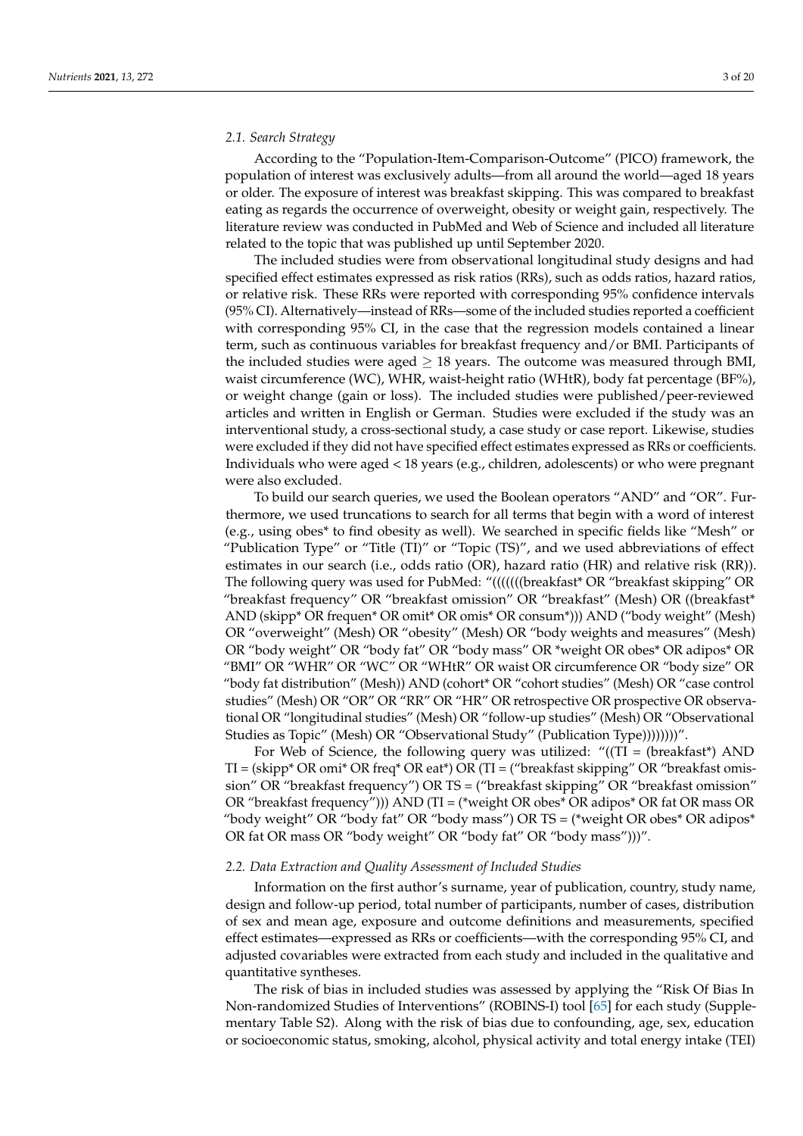#### *2.1. Search Strategy*

According to the "Population-Item-Comparison-Outcome" (PICO) framework, the population of interest was exclusively adults—from all around the world—aged 18 years or older. The exposure of interest was breakfast skipping. This was compared to breakfast eating as regards the occurrence of overweight, obesity or weight gain, respectively. The literature review was conducted in PubMed and Web of Science and included all literature related to the topic that was published up until September 2020.

The included studies were from observational longitudinal study designs and had specified effect estimates expressed as risk ratios (RRs), such as odds ratios, hazard ratios, or relative risk. These RRs were reported with corresponding 95% confidence intervals (95% CI). Alternatively—instead of RRs—some of the included studies reported a coefficient with corresponding 95% CI, in the case that the regression models contained a linear term, such as continuous variables for breakfast frequency and/or BMI. Participants of the included studies were aged  $> 18$  years. The outcome was measured through BMI, waist circumference (WC), WHR, waist-height ratio (WHtR), body fat percentage (BF%), or weight change (gain or loss). The included studies were published/peer-reviewed articles and written in English or German. Studies were excluded if the study was an interventional study, a cross-sectional study, a case study or case report. Likewise, studies were excluded if they did not have specified effect estimates expressed as RRs or coefficients. Individuals who were aged < 18 years (e.g., children, adolescents) or who were pregnant were also excluded.

To build our search queries, we used the Boolean operators "AND" and "OR". Furthermore, we used truncations to search for all terms that begin with a word of interest (e.g., using obes\* to find obesity as well). We searched in specific fields like "Mesh" or "Publication Type" or "Title (TI)" or "Topic (TS)", and we used abbreviations of effect estimates in our search (i.e., odds ratio (OR), hazard ratio (HR) and relative risk (RR)). The following query was used for PubMed: "(((((((breakfast\* OR "breakfast skipping" OR "breakfast frequency" OR "breakfast omission" OR "breakfast" (Mesh) OR ((breakfast\* AND (skipp\* OR frequen\* OR omit\* OR omis\* OR consum\*))) AND ("body weight" (Mesh) OR "overweight" (Mesh) OR "obesity" (Mesh) OR "body weights and measures" (Mesh) OR "body weight" OR "body fat" OR "body mass" OR \*weight OR obes\* OR adipos\* OR "BMI" OR "WHR" OR "WC" OR "WHtR" OR waist OR circumference OR "body size" OR "body fat distribution" (Mesh)) AND (cohort\* OR "cohort studies" (Mesh) OR "case control studies" (Mesh) OR "OR" OR "RR" OR "HR" OR retrospective OR prospective OR observational OR "longitudinal studies" (Mesh) OR "follow-up studies" (Mesh) OR "Observational Studies as Topic" (Mesh) OR "Observational Study" (Publication Type))))))))".

For Web of Science, the following query was utilized: " $((TI = (breakfast*)$  AND TI = (skipp\* OR omi\* OR freq\* OR eat\*) OR (TI = ("breakfast skipping" OR "breakfast omission" OR "breakfast frequency") OR TS = ("breakfast skipping" OR "breakfast omission" OR "breakfast frequency"))) AND (TI = (\*weight OR obes\* OR adipos\* OR fat OR mass OR "body weight" OR "body fat" OR "body mass") OR TS = (\*weight OR obes\* OR adipos\* OR fat OR mass OR "body weight" OR "body fat" OR "body mass")))".

#### *2.2. Data Extraction and Quality Assessment of Included Studies*

Information on the first author's surname, year of publication, country, study name, design and follow-up period, total number of participants, number of cases, distribution of sex and mean age, exposure and outcome definitions and measurements, specified effect estimates—expressed as RRs or coefficients—with the corresponding 95% CI, and adjusted covariables were extracted from each study and included in the qualitative and quantitative syntheses.

The risk of bias in included studies was assessed by applying the "Risk Of Bias In Non-randomized Studies of Interventions" (ROBINS-I) tool [\[65\]](#page-17-2) for each study (Supplementary Table S2). Along with the risk of bias due to confounding, age, sex, education or socioeconomic status, smoking, alcohol, physical activity and total energy intake (TEI)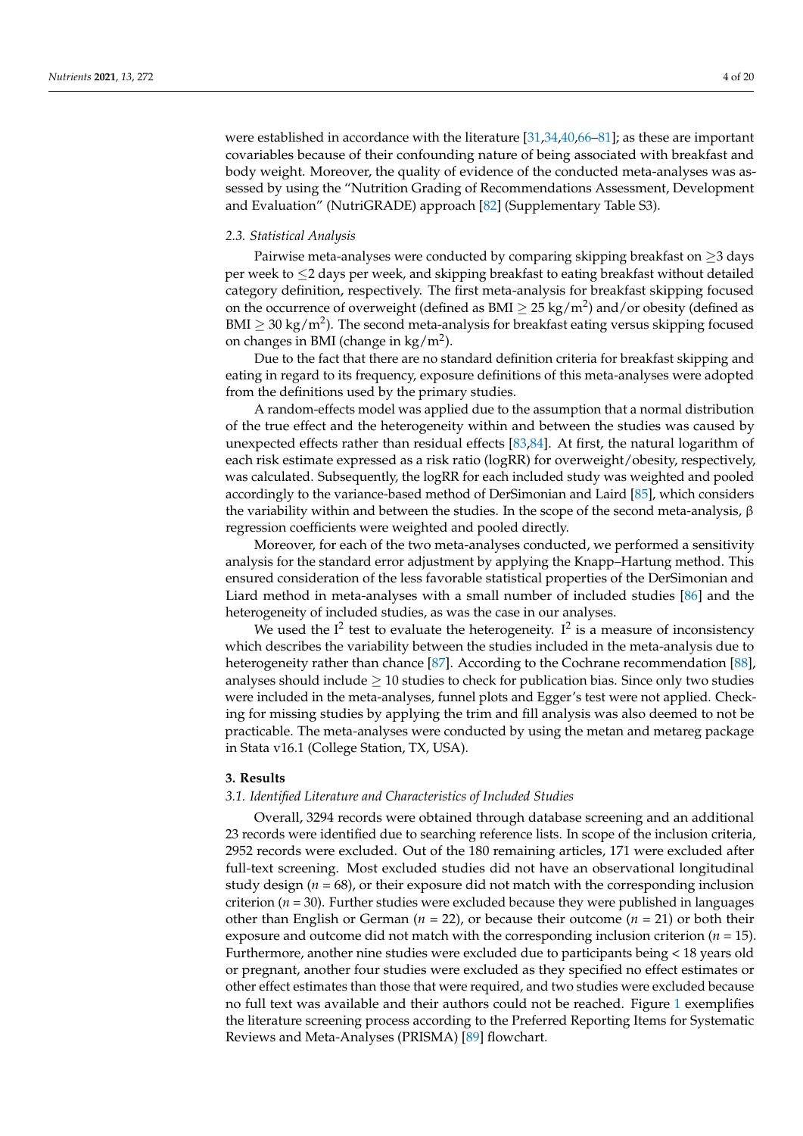were established in accordance with the literature [\[31,](#page-15-12)[34,](#page-15-15)[40,](#page-16-2)[66–](#page-17-3)[81\]](#page-17-4); as these are important covariables because of their confounding nature of being associated with breakfast and body weight. Moreover, the quality of evidence of the conducted meta-analyses was assessed by using the "Nutrition Grading of Recommendations Assessment, Development and Evaluation" (NutriGRADE) approach [\[82\]](#page-17-5) (Supplementary Table S3).

#### *2.3. Statistical Analysis*

Pairwise meta-analyses were conducted by comparing skipping breakfast on  $\geq$ 3 days per week to ≤2 days per week, and skipping breakfast to eating breakfast without detailed category definition, respectively. The first meta-analysis for breakfast skipping focused on the occurrence of overweight (defined as BMI  $\geq$  25 kg/m<sup>2</sup>) and/or obesity (defined as BMI  $\geq$  30 kg/m<sup>2</sup>). The second meta-analysis for breakfast eating versus skipping focused on changes in BMI (change in  $\text{kg/m}^2$ ).

Due to the fact that there are no standard definition criteria for breakfast skipping and eating in regard to its frequency, exposure definitions of this meta-analyses were adopted from the definitions used by the primary studies.

A random-effects model was applied due to the assumption that a normal distribution of the true effect and the heterogeneity within and between the studies was caused by unexpected effects rather than residual effects [\[83,](#page-17-6)[84\]](#page-17-7). At first, the natural logarithm of each risk estimate expressed as a risk ratio (logRR) for overweight/obesity, respectively, was calculated. Subsequently, the logRR for each included study was weighted and pooled accordingly to the variance-based method of DerSimonian and Laird [\[85\]](#page-17-8), which considers the variability within and between the studies. In the scope of the second meta-analysis,  $\beta$ regression coefficients were weighted and pooled directly.

Moreover, for each of the two meta-analyses conducted, we performed a sensitivity analysis for the standard error adjustment by applying the Knapp–Hartung method. This ensured consideration of the less favorable statistical properties of the DerSimonian and Liard method in meta-analyses with a small number of included studies [\[86\]](#page-17-9) and the heterogeneity of included studies, as was the case in our analyses.

We used the  $I^2$  test to evaluate the heterogeneity.  $I^2$  is a measure of inconsistency which describes the variability between the studies included in the meta-analysis due to heterogeneity rather than chance [\[87\]](#page-17-10). According to the Cochrane recommendation [\[88\]](#page-17-11), analyses should include  $\geq 10$  studies to check for publication bias. Since only two studies were included in the meta-analyses, funnel plots and Egger's test were not applied. Checking for missing studies by applying the trim and fill analysis was also deemed to not be practicable. The meta-analyses were conducted by using the metan and metareg package in Stata v16.1 (College Station, TX, USA).

#### **3. Results**

#### *3.1. Identified Literature and Characteristics of Included Studies*

Overall, 3294 records were obtained through database screening and an additional 23 records were identified due to searching reference lists. In scope of the inclusion criteria, 2952 records were excluded. Out of the 180 remaining articles, 171 were excluded after full-text screening. Most excluded studies did not have an observational longitudinal study design  $(n = 68)$ , or their exposure did not match with the corresponding inclusion criterion ( $n = 30$ ). Further studies were excluded because they were published in languages other than English or German (*n* = 22), or because their outcome (*n* = 21) or both their exposure and outcome did not match with the corresponding inclusion criterion (*n* = 15). Furthermore, another nine studies were excluded due to participants being < 18 years old or pregnant, another four studies were excluded as they specified no effect estimates or other effect estimates than those that were required, and two studies were excluded because no full text was available and their authors could not be reached. Figure [1](#page-4-0) exemplifies the literature screening process according to the Preferred Reporting Items for Systematic Reviews and Meta-Analyses (PRISMA) [\[89\]](#page-18-0) flowchart.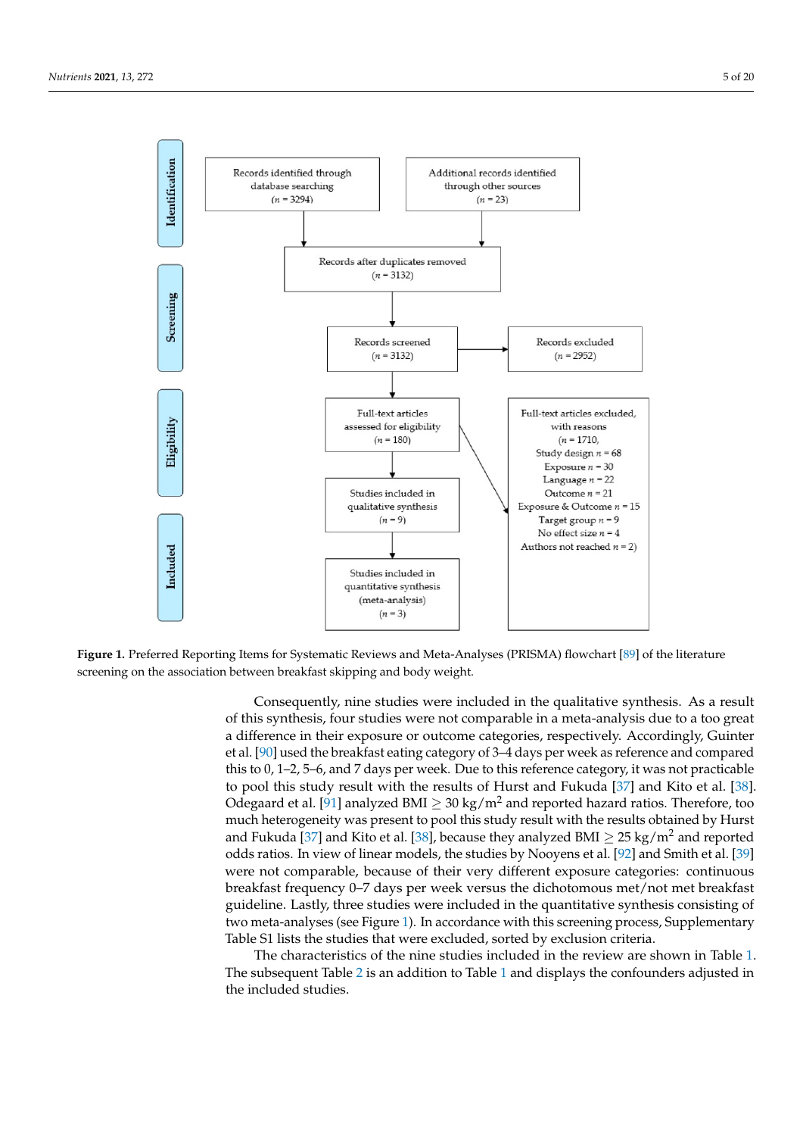<span id="page-4-0"></span>

Figure 1. **Preferred Reporting Items for Systematic Reporting Angle Systematic Reporting 2. Preferred** Reporting and Meta-Analyses (PRISMA) for the analyses (PRISMA) flow charge (PRISMA) flow charge (PRISMA) for the cont screening on the association between breakfast skipping and body weight. **Figure 1.** Preferred Reporting Items for Systematic Reviews and Meta-Analyses (PRISMA) flowchart [\[89\]](#page-18-0) of the literature

of this synthesis, four studies were not comparable in a meta-analysis due to a too great a difference in their exposure or outcome categories, respectively. Accordingly, Guinter et al. [\[90\]](#page-18-1) used the breakfast eating category of 3–4 days per week as reference and compared this to 0, 1–2, 5–6, and 7 days per week. Due to this reference category, it was not practicable to pool this study result with the results of Hurst and Fukuda [\[37\]](#page-16-7) and Kito et al. [\[38\]](#page-16-0). Odegaard et al. [\[91\]](#page-18-2) analyzed BMI  $\geq 30 \text{ kg/m}^2$  and reported hazard ratios. Therefore, too much heterogeneity was present to pool this study result with the results obtained by Hurst and Fukuda [\[37\]](#page-16-7) and Kito et al. [\[38\]](#page-16-0), because they analyzed BMI  $\geq 25 \text{ kg/m}^2$  and reported distribution to positive to the results of the results of  $\frac{1}{2}$  and  $\frac{1}{2}$  and  $\frac{1}{2}$  and  $\frac{1}{2}$  and  $\frac{1}{2}$  and  $\frac{1}{2}$  and  $\frac{1}{2}$  and  $\frac{1}{2}$  and  $\frac{1}{2}$  and  $\frac{1}{2}$  and  $\frac{1}{2}$  and  $\frac{1}{2}$ were not comparable, because of their very different exposure categories: continuous breakfast frequency 0–7 days per week versus the dichotomous met/not met breakfast examing experiency of the studies were included in the quantitative synthesis consisting of guideline. Lastly, three studies were included in the quantitative synthesis consisting of gandemic. Easily, an ee stadies were increased in the quantum oversume consisting of two meta-analyses (see Figure [1\)](#page-4-0). In accordance with this screening process, Supplementary we mean analyses (see Figure 1). In accordance with this selecting process, supprenting that were excluded, sorted by exclusion criteria. Consequently, nine studies were included in the qualitative synthesis. As a result

For now the characteristics of the nine studies included in the review are shown in Table [1.](#page-6-0) 1). In accordance with the correction of this screening process, Supplementary Table S1 and displays the conformation of displays The subsequent Table [2](#page-6-1) is an addition to Table [1](#page-6-0) and displays the confounders adjusted in<br>the included chidies  $T_{\text{t}}$  of the nine studies included in the review are shown in the review are shown in the review are shown in the review are shown in the review are shown in the review are shown in the review  $\frac{1}{2}$ the included studies.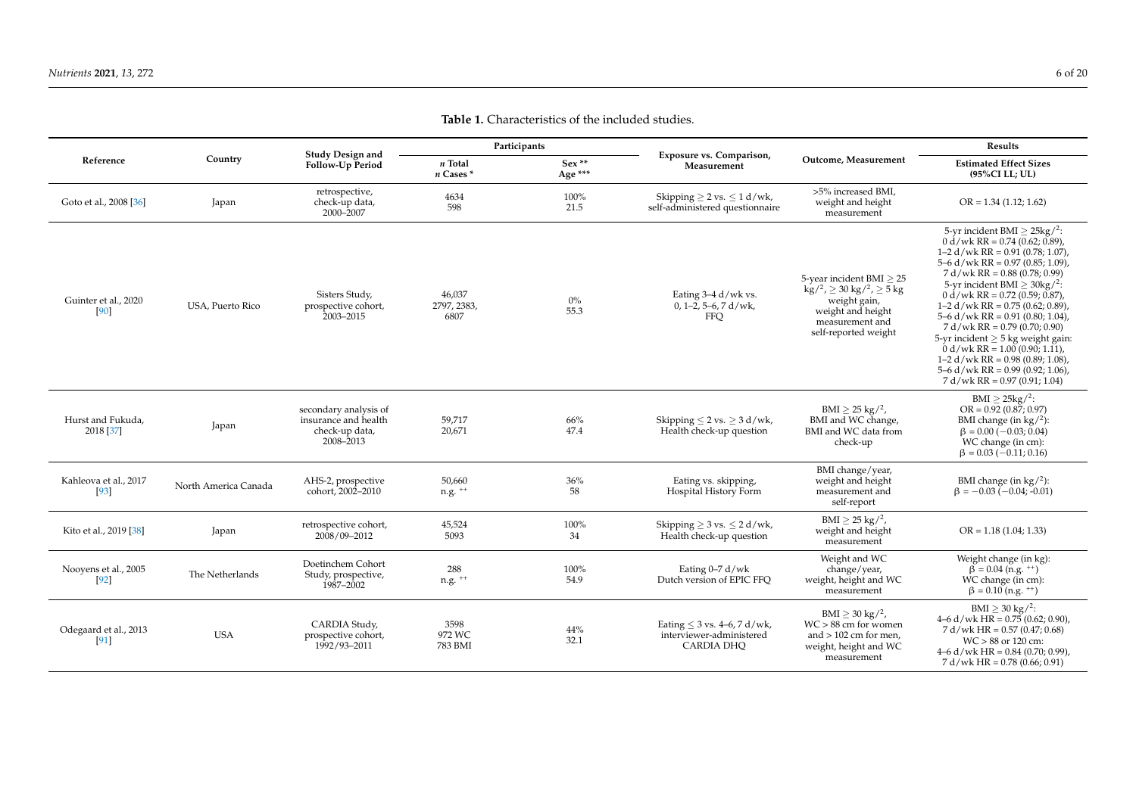Odegaard et al., 2013 [\[91\]](#page-18-7)

USA

CARDIA Study, prospective cohort, 1992/93–2011

3598 972 WC 783 BMI

| Reference                       | Country              | Study Design and<br><b>Follow-Up Period</b>                                  | Participants                   |                    |                                                                         |                                                                                                                                                                      | Results                                                                                                                                                                                                                                                                                                                                                                                                                                                                                                                                                                                             |  |
|---------------------------------|----------------------|------------------------------------------------------------------------------|--------------------------------|--------------------|-------------------------------------------------------------------------|----------------------------------------------------------------------------------------------------------------------------------------------------------------------|-----------------------------------------------------------------------------------------------------------------------------------------------------------------------------------------------------------------------------------------------------------------------------------------------------------------------------------------------------------------------------------------------------------------------------------------------------------------------------------------------------------------------------------------------------------------------------------------------------|--|
|                                 |                      |                                                                              | n Total<br>$n$ Cases $*$       | $Sex**$<br>Age *** | Exposure vs. Comparison,<br>Measurement                                 | Outcome, Measurement                                                                                                                                                 | <b>Estimated Effect Sizes</b><br>(95%CI LL; UL)                                                                                                                                                                                                                                                                                                                                                                                                                                                                                                                                                     |  |
| Goto et al., 2008 [36]          | Japan                | retrospective,<br>check-up data,<br>2000-2007                                | 4634<br>598                    | 100%<br>21.5       | Skipping $\geq$ 2 vs. $\leq$ 1 d/wk,<br>self-administered questionnaire | >5% increased BMI,<br>weight and height<br>measurement                                                                                                               | $OR = 1.34 (1.12; 1.62)$                                                                                                                                                                                                                                                                                                                                                                                                                                                                                                                                                                            |  |
| Guinter et al., 2020<br>[90]    | USA, Puerto Rico     | Sisters Study,<br>prospective cohort,<br>2003-2015                           | 46,037<br>2797, 2383,<br>6807  | $0\%$<br>55.3      | Eating 3-4 d/wk vs.<br>$0, 1-2, 5-6, 7$ d/wk,<br><b>FFQ</b>             | 5-year incident BMI $\geq$ 25<br>$\rm kg/^2$ , $\geq 30 \rm kg/^2$ , $\geq 5 \rm kg$<br>weight gain,<br>weight and height<br>measurement and<br>self-reported weight | 5-yr incident BMI $\geq$ 25kg/ <sup>2</sup> :<br>$0 d/wk RR = 0.74 (0.62; 0.89)$ ,<br>1-2 $d/wk RR = 0.91 (0.78; 1.07)$ ,<br>$5-6$ d/wk RR = 0.97 (0.85; 1.09),<br>$7 d/wk RR = 0.88 (0.78; 0.99)$<br>5-yr incident BMI $\geq$ 30kg/ <sup>2</sup> :<br>$0 d/wk RR = 0.72 (0.59; 0.87)$<br>1-2 $d/wk RR = 0.75 (0.62; 0.89)$ ,<br>$5-6$ d/wk RR = 0.91 (0.80; 1.04),<br>$7 d/wk RR = 0.79 (0.70; 0.90)$<br>5-yr incident $\geq$ 5 kg weight gain:<br>$0 d/wk RR = 1.00 (0.90; 1.11),$<br>1–2 d/wk RR = $0.98$ (0.89; 1.08),<br>$5-6$ d/wk RR = 0.99 (0.92; 1.06),<br>$7 d/wk RR = 0.97 (0.91; 1.04)$ |  |
| Hurst and Fukuda,<br>2018 [37]  | Japan                | secondary analysis of<br>insurance and health<br>check-up data,<br>2008-2013 | 59,717<br>20,671               | 66%<br>47.4        | Skipping $\leq$ 2 vs. $\geq$ 3 d/wk,<br>Health check-up question        | $BMI > 25 \text{ kg}/^{2}$ ,<br>BMI and WC change,<br>BMI and WC data from<br>check-up                                                                               | BMI $\geq$ 25kg/ <sup>2</sup> :<br>$OR = 0.92$ (0.87; 0.97)<br>BMI change (in $\text{kg}/^2$ ):<br>$\beta = 0.00 (-0.03; 0.04)$<br>WC change (in cm):<br>$\beta = 0.03 (-0.11; 0.16)$                                                                                                                                                                                                                                                                                                                                                                                                               |  |
| Kahleova et al., 2017<br>$[93]$ | North America Canada | AHS-2, prospective<br>cohort, 2002-2010                                      | 50,660<br>$n.g.$ <sup>++</sup> | 36%<br>58          | Eating vs. skipping,<br>Hospital History Form                           | BMI change/year,<br>weight and height<br>measurement and<br>self-report                                                                                              | BMI change (in $\text{kg}/^2$ ):<br>$\beta = -0.03$ (-0.04; -0.01)                                                                                                                                                                                                                                                                                                                                                                                                                                                                                                                                  |  |
| Kito et al., 2019 [38]          | Japan                | retrospective cohort,<br>2008/09-2012                                        | 45,524<br>5093                 | 100%<br>34         | Skipping $\geq$ 3 vs. $\leq$ 2 d/wk,<br>Health check-up question        | $BMI \geq 25 \text{ kg}/^2$ ,<br>weight and height<br>measurement                                                                                                    | $OR = 1.18 (1.04; 1.33)$                                                                                                                                                                                                                                                                                                                                                                                                                                                                                                                                                                            |  |
| Nooyens et al., 2005<br>$[92]$  | The Netherlands      | Doetinchem Cohort<br>Study, prospective,<br>1987-2002                        | 288<br>$n.g.$ <sup>++</sup>    | 100%<br>54.9       | Eating 0-7 d/wk<br>Dutch version of EPIC FFO                            | Weight and WC<br>change/year,<br>weight, height and WC<br>measurement                                                                                                | Weight change (in kg):<br>$\beta = 0.04$ (n.g. <sup>++</sup> )<br>WC change (in cm):<br>$\beta = 0.10$ (n.g. <sup>++</sup> )                                                                                                                                                                                                                                                                                                                                                                                                                                                                        |  |
| Odegaard et al., 2013           | T TC A               | CARDIA Study,<br>prognactiva cabort                                          | 3598<br>$072$ $M$ $C$          | 44%                | Eating $\leq$ 3 vs. 4–6, 7 d/wk,<br>intorviouror-administorod           | BMI $\geq$ 30 kg/ <sup>2</sup> ,<br>$WC > 88$ cm for women<br>and $\sim$ 102 cm for mon                                                                              | $BMI \ge 30 \text{ kg}/^2$ :<br>$4-6$ d/wk HR = 0.75 (0.62; 0.90),<br>$7 d/wk HR = 0.57 (0.47; 0.68)$                                                                                                                                                                                                                                                                                                                                                                                                                                                                                               |  |

44% 32.1 Eating ≤ 3 vs. 4–6, 7 d/wk, interviewer-administered CARDIA DHQ

and > 102 cm for men, weight, height and WC measurement

WC > 88 or 120 cm: 4–6 d/wk HR = 0.84 (0.70; 0.99), 7 d/wk HR = 0.78 (0.66; 0.91)

**Table 1.** Characteristics of the included studies.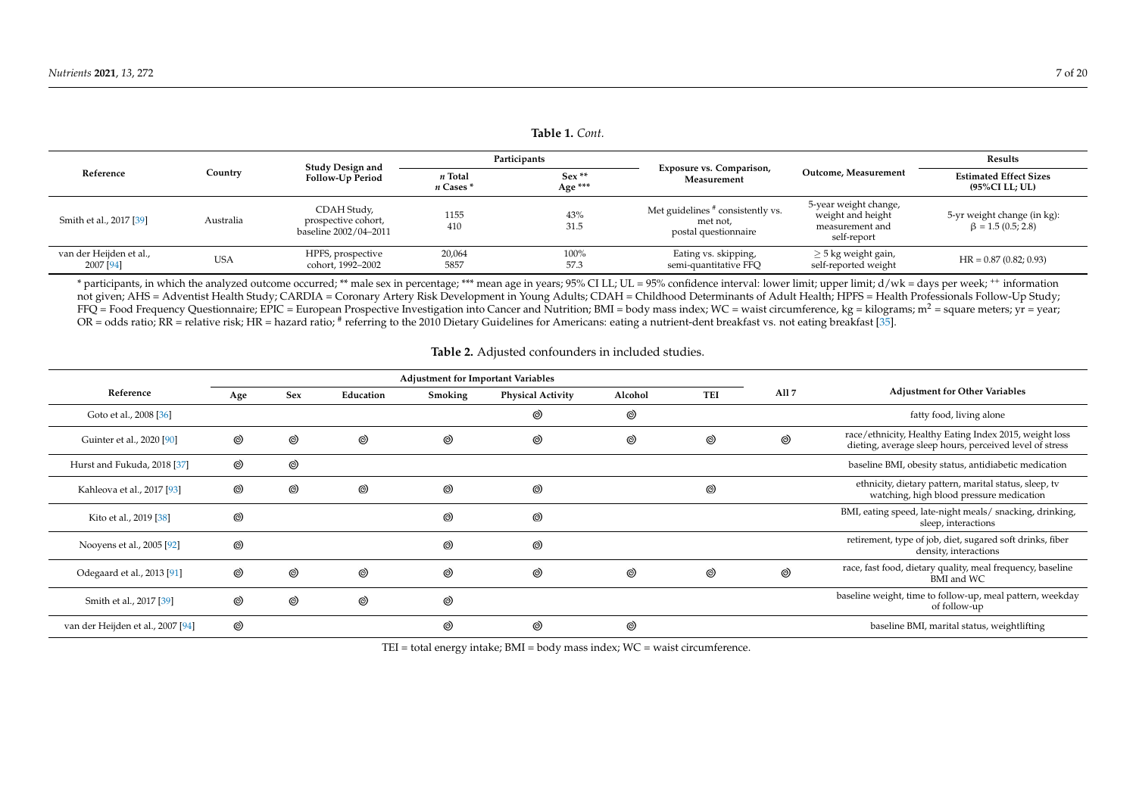| Table 1. Cont.                       |            |                                                             |                          |                    |                                                                       |                                                                              |                                                         |  |
|--------------------------------------|------------|-------------------------------------------------------------|--------------------------|--------------------|-----------------------------------------------------------------------|------------------------------------------------------------------------------|---------------------------------------------------------|--|
| Reference                            | Country    | Study Design and<br><b>Follow-Up Period</b>                 | Participants             |                    |                                                                       |                                                                              | Results                                                 |  |
|                                      |            |                                                             | n Total<br>$n$ Cases $*$ | $Sex**$<br>Age *** | <b>Exposure vs. Comparison,</b><br>Measurement                        | Outcome, Measurement                                                         | <b>Estimated Effect Sizes</b><br>(95%CI LL: UL)         |  |
| Smith et al., 2017 [39]              | Australia  | CDAH Study,<br>prospective cohort,<br>baseline 2002/04-2011 | 1155<br>410              | 43%<br>31.5        | Met guidelines # consistently vs.<br>met not,<br>postal questionnaire | 5-year weight change,<br>weight and height<br>measurement and<br>self-report | 5-yr weight change (in kg):<br>$\beta = 1.5 (0.5; 2.8)$ |  |
| van der Heijden et al.,<br>2007 [94] | <b>USA</b> | HPFS, prospective<br>cohort, 1992-2002                      | 20,064<br>5857           | 100%<br>57.3       | Eating vs. skipping,<br>semi-quantitative FFQ                         | $\geq$ 5 kg weight gain,<br>self-reported weight                             | $HR = 0.87(0.82; 0.93)$                                 |  |

\* participants, in which the analyzed outcome occurred; \*\* male sex in percentage; \*\*\* mean age in years; 95% CI LL; UL = 95% confidence interval: lower limit; upper limit; d/wk = days per week; ++ information not given; AHS = Adventist Health Study; CARDIA = Coronary Artery Risk Development in Young Adults; CDAH = Childhood Determinants of Adult Health; HPFS = Health Professionals Follow-Up Study;  $FFQ = Food Frequency Questionnaire; EPIC = European Prospective Investigation into Cancer and Nutrition; BMI = body mass index; WC = waits circumference, kg = kilograms; m<sup>2</sup> = square meters; vr = year;$ OR = odds ratio; RR = relative risk; HR = hazard ratio; # referring to the 2010 Dietary Guidelines for Americans: eating a nutrient-dent breakfast vs. not eating breakfast [\[35\]](#page-15-18).

#### **Table 2.** Adjusted confounders in included studies.

<span id="page-6-1"></span><span id="page-6-0"></span>

|                                   | <b>Adjustment for Important Variables</b> |                |                |                |                          |                |                |                  |                                                                                                                   |
|-----------------------------------|-------------------------------------------|----------------|----------------|----------------|--------------------------|----------------|----------------|------------------|-------------------------------------------------------------------------------------------------------------------|
| Reference                         | Age                                       | Sex            | Education      | Smoking        | <b>Physical Activity</b> | Alcohol        | <b>TEI</b>     | All <sub>7</sub> | <b>Adjustment for Other Variables</b>                                                                             |
| Goto et al., 2008 [36]            |                                           |                |                |                | $^{\circledR}$           | ⊚              |                |                  | fatty food, living alone                                                                                          |
| Guinter et al., 2020 [90]         | $^{\circledR}$                            | ◎              | $^{\circledR}$ | $^{\circledR}$ | $^{\circledR}$           | ⊚              | ◎              | $^{\circledR}$   | race/ethnicity, Healthy Eating Index 2015, weight loss<br>dieting, average sleep hours, perceived level of stress |
| Hurst and Fukuda, 2018 [37]       | $^{\circledR}$                            | $^{\circledR}$ |                |                |                          |                |                |                  | baseline BMI, obesity status, antidiabetic medication                                                             |
| Kahleova et al., 2017 [93]        | $^{\circledR}$                            | ⊚              | $^{\circledR}$ | $^{\circledR}$ | $^{\circledR}$           |                | ◎              |                  | ethnicity, dietary pattern, marital status, sleep, tv<br>watching, high blood pressure medication                 |
| Kito et al., 2019 [38]            | $^{\circledR}$                            |                |                | $^{\circledR}$ | $^{\circledR}$           |                |                |                  | BMI, eating speed, late-night meals/ snacking, drinking,<br>sleep, interactions                                   |
| Nooyens et al., 2005 [92]         | $^{\circledR}$                            |                |                | $\circledcirc$ | $^{\circledR}$           |                |                |                  | retirement, type of job, diet, sugared soft drinks, fiber<br>density, interactions                                |
| Odegaard et al., 2013 [91]        | $^{\circledR}$                            | $\circledcirc$ | $^{\circledR}$ | $^{\circledR}$ | $\circledcirc$           | $^{\circledR}$ | $^{\circledR}$ | $^{\circ}$       | race, fast food, dietary quality, meal frequency, baseline<br>BMI and WC                                          |
| Smith et al., 2017 [39]           | $^{\circledR}$                            | $^{\circledR}$ | $^{\circledR}$ | $^{\circledR}$ |                          |                |                |                  | baseline weight, time to follow-up, meal pattern, weekday<br>of follow-up                                         |
| van der Heijden et al., 2007 [94] | $^{\circledR}$                            |                |                | $^{\circledR}$ | $^{\circledR}$           | $^{\circledR}$ |                |                  | baseline BMI, marital status, weightlifting                                                                       |

TEI = total energy intake; BMI = body mass index; WC = waist circumference.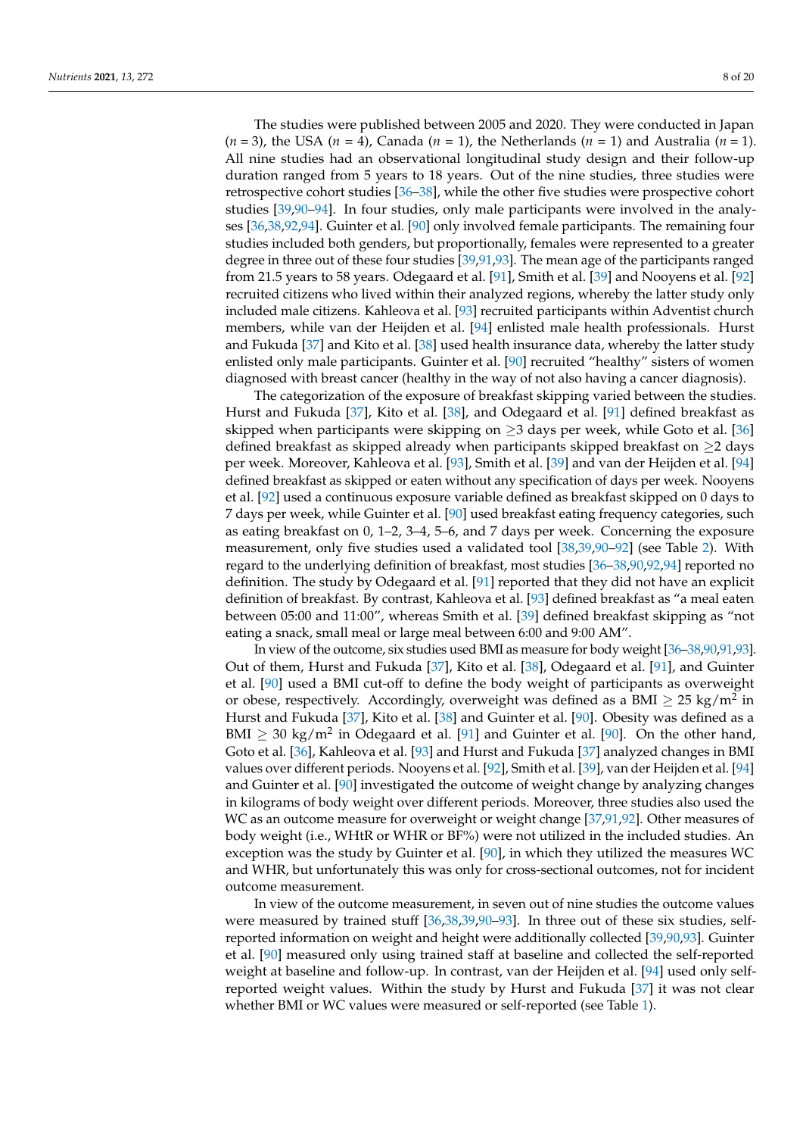The studies were published between 2005 and 2020. They were conducted in Japan  $(n = 3)$ , the USA  $(n = 4)$ , Canada  $(n = 1)$ , the Netherlands  $(n = 1)$  and Australia  $(n = 1)$ . All nine studies had an observational longitudinal study design and their follow-up duration ranged from 5 years to 18 years. Out of the nine studies, three studies were retrospective cohort studies [\[36–](#page-15-19)[38\]](#page-16-0), while the other five studies were prospective cohort studies [\[39,](#page-16-1)[90](#page-18-1)[–94\]](#page-18-9). In four studies, only male participants were involved in the analyses [\[36,](#page-15-19)[38,](#page-16-0)[92](#page-18-3)[,94\]](#page-18-9). Guinter et al. [\[90\]](#page-18-1) only involved female participants. The remaining four studies included both genders, but proportionally, females were represented to a greater degree in three out of these four studies [\[39,](#page-16-1)[91,](#page-18-2)[93\]](#page-18-10). The mean age of the participants ranged from 21.5 years to 58 years. Odegaard et al. [\[91\]](#page-18-2), Smith et al. [\[39\]](#page-16-1) and Nooyens et al. [\[92\]](#page-18-3) recruited citizens who lived within their analyzed regions, whereby the latter study only included male citizens. Kahleova et al. [\[93\]](#page-18-10) recruited participants within Adventist church members, while van der Heijden et al. [\[94\]](#page-18-9) enlisted male health professionals. Hurst and Fukuda [\[37\]](#page-16-7) and Kito et al. [\[38\]](#page-16-0) used health insurance data, whereby the latter study enlisted only male participants. Guinter et al. [\[90\]](#page-18-1) recruited "healthy" sisters of women diagnosed with breast cancer (healthy in the way of not also having a cancer diagnosis).

The categorization of the exposure of breakfast skipping varied between the studies. Hurst and Fukuda [\[37\]](#page-16-7), Kito et al. [\[38\]](#page-16-0), and Odegaard et al. [\[91\]](#page-18-2) defined breakfast as skipped when participants were skipping on  $\geq$ 3 days per week, while Goto et al. [\[36\]](#page-15-19) defined breakfast as skipped already when participants skipped breakfast on  $\geq$  days per week. Moreover, Kahleova et al. [\[93\]](#page-18-10), Smith et al. [\[39\]](#page-16-1) and van der Heijden et al. [\[94\]](#page-18-9) defined breakfast as skipped or eaten without any specification of days per week. Nooyens et al. [\[92\]](#page-18-3) used a continuous exposure variable defined as breakfast skipped on 0 days to 7 days per week, while Guinter et al. [\[90\]](#page-18-1) used breakfast eating frequency categories, such as eating breakfast on 0, 1–2, 3–4, 5–6, and 7 days per week. Concerning the exposure measurement, only five studies used a validated tool [\[38](#page-16-0)[,39](#page-16-1)[,90](#page-18-1)[–92\]](#page-18-3) (see Table [2\)](#page-6-1). With regard to the underlying definition of breakfast, most studies [\[36–](#page-15-19)[38,](#page-16-0)[90,](#page-18-1)[92,](#page-18-3)[94\]](#page-18-9) reported no definition. The study by Odegaard et al. [\[91\]](#page-18-2) reported that they did not have an explicit definition of breakfast. By contrast, Kahleova et al. [\[93\]](#page-18-10) defined breakfast as "a meal eaten between 05:00 and 11:00", whereas Smith et al. [\[39\]](#page-16-1) defined breakfast skipping as "not eating a snack, small meal or large meal between 6:00 and 9:00 AM".

In view of the outcome, six studies used BMI as measure for body weight [\[36](#page-15-19)[–38,](#page-16-0)[90,](#page-18-1)[91,](#page-18-2)[93\]](#page-18-10). Out of them, Hurst and Fukuda [\[37\]](#page-16-7), Kito et al. [\[38\]](#page-16-0), Odegaard et al. [\[91\]](#page-18-2), and Guinter et al. [\[90\]](#page-18-1) used a BMI cut-off to define the body weight of participants as overweight or obese, respectively. Accordingly, overweight was defined as a BMI  $\geq 25 \text{ kg/m}^2$  in Hurst and Fukuda [\[37\]](#page-16-7), Kito et al. [\[38\]](#page-16-0) and Guinter et al. [\[90\]](#page-18-1). Obesity was defined as a BMI  $\geq 30$  kg/m<sup>2</sup> in Odegaard et al. [\[91\]](#page-18-2) and Guinter et al. [\[90\]](#page-18-1). On the other hand, Goto et al. [\[36\]](#page-15-19), Kahleova et al. [\[93\]](#page-18-10) and Hurst and Fukuda [\[37\]](#page-16-7) analyzed changes in BMI values over different periods. Nooyens et al. [\[92\]](#page-18-3), Smith et al. [\[39\]](#page-16-1), van der Heijden et al. [\[94\]](#page-18-9) and Guinter et al. [\[90\]](#page-18-1) investigated the outcome of weight change by analyzing changes in kilograms of body weight over different periods. Moreover, three studies also used the WC as an outcome measure for overweight or weight change [\[37](#page-16-7)[,91](#page-18-2)[,92\]](#page-18-3). Other measures of body weight (i.e., WHtR or WHR or BF%) were not utilized in the included studies. An exception was the study by Guinter et al. [\[90\]](#page-18-1), in which they utilized the measures WC and WHR, but unfortunately this was only for cross-sectional outcomes, not for incident outcome measurement.

In view of the outcome measurement, in seven out of nine studies the outcome values were measured by trained stuff [\[36](#page-15-19)[,38](#page-16-0)[,39](#page-16-1),90-[93\]](#page-18-10). In three out of these six studies, selfreported information on weight and height were additionally collected [\[39](#page-16-1)[,90,](#page-18-1)[93\]](#page-18-10). Guinter et al. [\[90\]](#page-18-1) measured only using trained staff at baseline and collected the self-reported weight at baseline and follow-up. In contrast, van der Heijden et al. [\[94\]](#page-18-9) used only selfreported weight values. Within the study by Hurst and Fukuda [\[37\]](#page-16-7) it was not clear whether BMI or WC values were measured or self-reported (see Table [1\)](#page-6-0).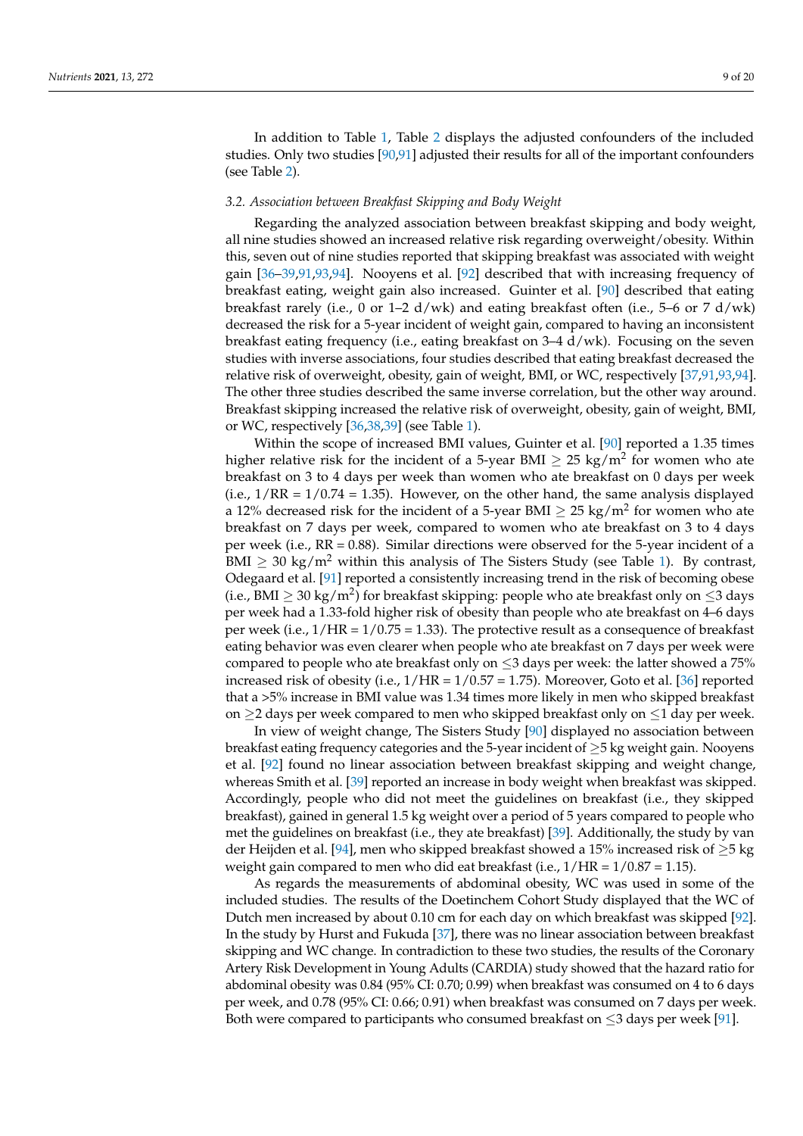In addition to Table [1,](#page-6-0) Table [2](#page-6-1) displays the adjusted confounders of the included studies. Only two studies [\[90,](#page-18-1)[91\]](#page-18-2) adjusted their results for all of the important confounders (see Table [2\)](#page-6-1).

#### *3.2. Association between Breakfast Skipping and Body Weight*

Regarding the analyzed association between breakfast skipping and body weight, all nine studies showed an increased relative risk regarding overweight/obesity. Within this, seven out of nine studies reported that skipping breakfast was associated with weight gain [\[36–](#page-15-19)[39](#page-16-1)[,91](#page-18-2)[,93](#page-18-10)[,94\]](#page-18-9). Nooyens et al. [\[92\]](#page-18-3) described that with increasing frequency of breakfast eating, weight gain also increased. Guinter et al. [\[90\]](#page-18-1) described that eating breakfast rarely (i.e., 0 or 1–2  $d/wk$ ) and eating breakfast often (i.e., 5–6 or 7  $d/wk$ ) decreased the risk for a 5-year incident of weight gain, compared to having an inconsistent breakfast eating frequency (i.e., eating breakfast on 3–4 d/wk). Focusing on the seven studies with inverse associations, four studies described that eating breakfast decreased the relative risk of overweight, obesity, gain of weight, BMI, or WC, respectively [\[37](#page-16-7)[,91](#page-18-2)[,93](#page-18-10)[,94\]](#page-18-9). The other three studies described the same inverse correlation, but the other way around. Breakfast skipping increased the relative risk of overweight, obesity, gain of weight, BMI, or WC, respectively [\[36](#page-15-19)[,38](#page-16-0)[,39\]](#page-16-1) (see Table [1\)](#page-6-0).

Within the scope of increased BMI values, Guinter et al. [\[90\]](#page-18-1) reported a 1.35 times higher relative risk for the incident of a 5-year BMI  $\geq$  25 kg/m $^2$  for women who ate breakfast on 3 to 4 days per week than women who ate breakfast on 0 days per week  $(i.e.,  $1/RR = 1/0.74 = 1.35$ ). However, on the other hand, the same analysis displayed$ a 12% decreased risk for the incident of a 5-year BMI  $\geq$  25 kg/m<sup>2</sup> for women who ate breakfast on 7 days per week, compared to women who ate breakfast on 3 to 4 days per week (i.e., RR = 0.88). Similar directions were observed for the 5-year incident of a BMI  $\geq$  30 kg/m<sup>2</sup> within this analysis of The Sisters Study (see Table [1\)](#page-6-0). By contrast, Odegaard et al. [\[91\]](#page-18-2) reported a consistently increasing trend in the risk of becoming obese (i.e., BMI  $\geq 30 \text{ kg/m}^2$ ) for breakfast skipping: people who ate breakfast only on  $\leq$ 3 days per week had a 1.33-fold higher risk of obesity than people who ate breakfast on 4–6 days per week (i.e.,  $1/HR = 1/0.75 = 1.33$ ). The protective result as a consequence of breakfast eating behavior was even clearer when people who ate breakfast on 7 days per week were compared to people who ate breakfast only on  $\leq$ 3 days per week: the latter showed a 75% increased risk of obesity (i.e.,  $1/HR = 1/0.57 = 1.75$ ). Moreover, Goto et al. [\[36\]](#page-15-19) reported that a >5% increase in BMI value was 1.34 times more likely in men who skipped breakfast on  $\geq$ 2 days per week compared to men who skipped breakfast only on  $\leq$ 1 day per week.

In view of weight change, The Sisters Study [\[90\]](#page-18-1) displayed no association between breakfast eating frequency categories and the 5-year incident of  $\geq$  5 kg weight gain. Nooyens et al. [\[92\]](#page-18-3) found no linear association between breakfast skipping and weight change, whereas Smith et al. [\[39\]](#page-16-1) reported an increase in body weight when breakfast was skipped. Accordingly, people who did not meet the guidelines on breakfast (i.e., they skipped breakfast), gained in general 1.5 kg weight over a period of 5 years compared to people who met the guidelines on breakfast (i.e., they ate breakfast) [\[39\]](#page-16-1). Additionally, the study by van der Heijden et al. [\[94\]](#page-18-9), men who skipped breakfast showed a 15% increased risk of ≥5 kg weight gain compared to men who did eat breakfast (i.e.,  $1/HR = 1/0.87 = 1.15$ ).

As regards the measurements of abdominal obesity, WC was used in some of the included studies. The results of the Doetinchem Cohort Study displayed that the WC of Dutch men increased by about 0.10 cm for each day on which breakfast was skipped [\[92\]](#page-18-3). In the study by Hurst and Fukuda [\[37\]](#page-16-7), there was no linear association between breakfast skipping and WC change. In contradiction to these two studies, the results of the Coronary Artery Risk Development in Young Adults (CARDIA) study showed that the hazard ratio for abdominal obesity was 0.84 (95% CI: 0.70; 0.99) when breakfast was consumed on 4 to 6 days per week, and 0.78 (95% CI: 0.66; 0.91) when breakfast was consumed on 7 days per week. Both were compared to participants who consumed breakfast on  $\leq$ 3 days per week [\[91\]](#page-18-2).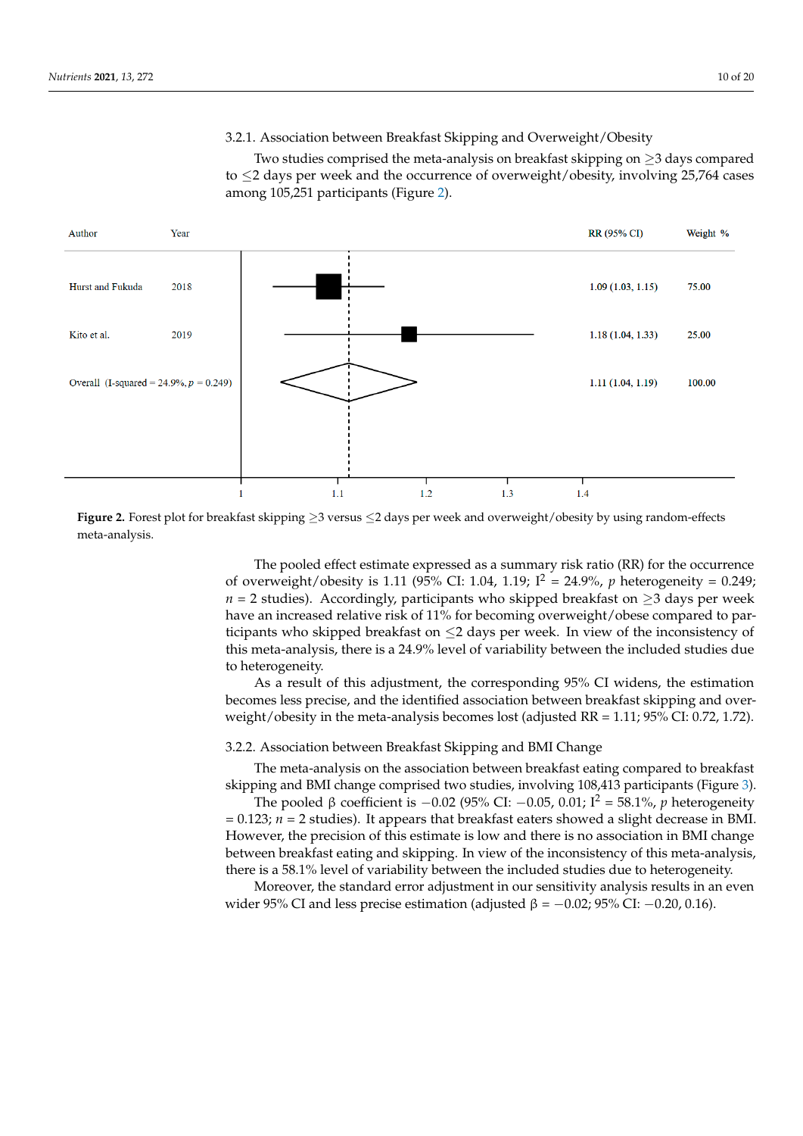## 3.2.1. Association between Breakfast Skipping and Overweight/Obesity 3.2.1. Association between Breakfast Skipping and Overweight/Obesity

Two studies comprised the meta-analysis on breakfast skipping on ≥3 days compared Two statics comprised the meta-analysis on breakfast skipping on  $\geq 0$  days compared to  $\leq 2$  days per week and the occurrence of overweight/obesity, involving 25,764 cases among 105,251 participants (Figure [2\)](#page-9-0). among 105,251 participants (Figure 2).  $\sigma \geq 2$  days per week and the occurrence of overweight/obesity, involving 25,764 cases

<span id="page-9-0"></span>

Figure 2. Forest plot for breakfast skipping ≥3 versus ≤2 days per week and overweight/obesity by using random-effects meta-analysis. meta-analysis.

> The pooled effect estimate expressed as a summary risk ratio (RR) for the occurrence The pooled effect estimate expressed as a summary risk ratio (RR) for the occurrence of overweight/obesity is 1.11 (95% CI: 1.04, 1.19;  $I^2 = 24.9$ %, *p* heterogeneity = 0.249; *n* = 2 studies). Accordingly, participants who skipped breakfast on ≥3 days per week have an increased relative risk of 11% for becoming overweight/obese compared to participants who skipped breakfast on  $\leq$ 2 days per week. In view of the inconsistency of this meta-analysis, there is a 24.9% level of variability between the included studies due heterogeneity. to heterogeneity.

> As a result of this adjustment, the corresponding 95% CI widens, the estimation As a result of this adjustment, the corresponding 95% CI widens, the estimation becomes less precise, and the identified association between breakfast skipping and becomes less precise, and the identified association between breakfast skipping and over- $\alpha$  overweight  $\alpha$  besity in the meta-analysis becomes lost (adjusted RR  $= 1.11$ ; 95% CI: 0.72, 1.1 1.72). weight/obesity in the meta-analysis becomes lost (adjusted RR = 1.11; 95% CI: 0.72, 1.72).

## 3.2.2. Association between Breakfast Skipping and BMI Change 3.2.2. Association between Breakfast Skipping and BMI Change

The meta-analysis on the association between breakfast  $100.412$  confidence to  $T_{\rm max}$ skipping and BMI change comprised two studies, involving 108,413 participants (Figure 3). skipping and BMI change comprised two studies, involving 108,413 participants (Figure [3\)](#page-10-0). The meta-analysis on the association between breakfast eating compared to breakfast

The pooled β coefficient is  $-0.02$  (95% CI:  $-0.05$ , 0.01; I<sup>2</sup> = 58.1%, *p* heterogeneity  $= 0.123$ ;  $n = 2$  studies). It appears that breakfast eaters showed a slight decrease in BMI. However, the precision of this estimate is low and there is no association in BMI change between breakfast eating and skipping. In view of the inconsistency of this meta-analysis, there is a 58.1% level of variability between the included studies due to heterogeneity.

Moreover, the standard error adjustment in our sensitivity analysis results in an even wider 95% CI and less precise estimation (adjusted  $β = -0.02$ ; 95% CI:  $-0.20$ , 0.16).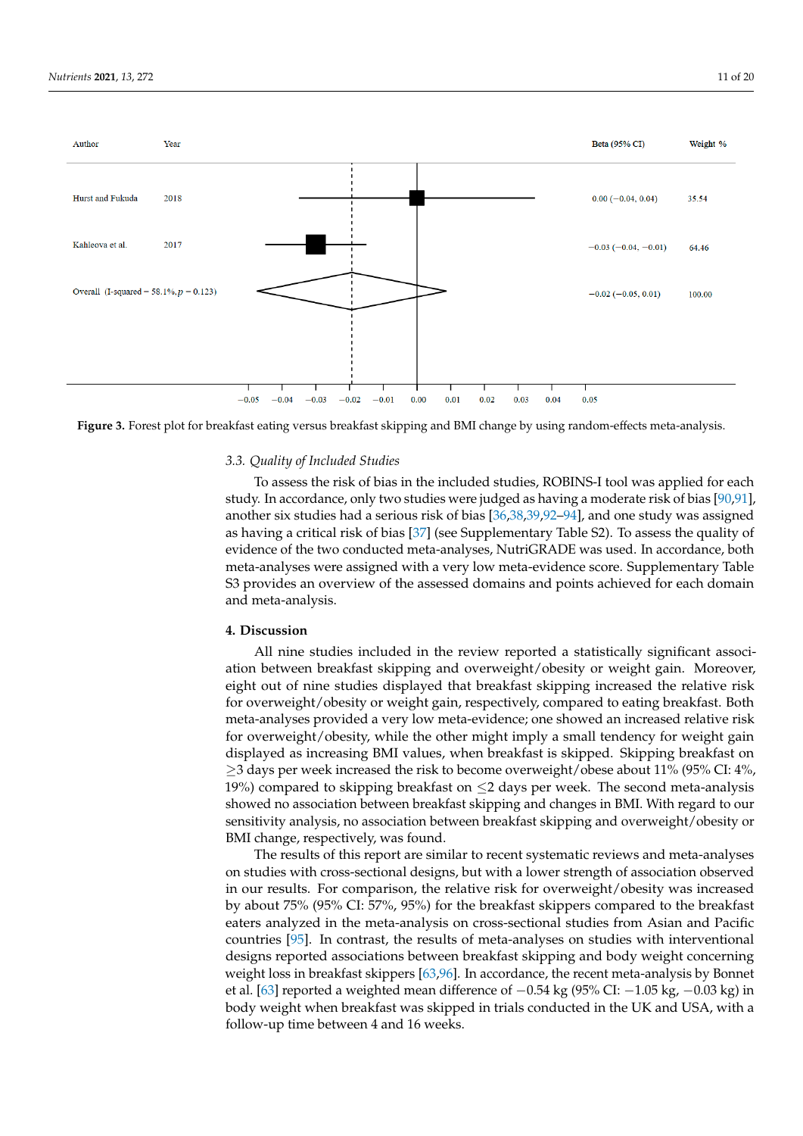<span id="page-10-0"></span>

*Nutrients* **2021**, *13*, x FOR PEER REVIEW 13 of 23



### The poole of *Fig.* −1.02 (95% CI) −1.03 (95% CI) = 58.1%, *p* heterogeneity = 58.1%, *p* + 58.1%, *p* + 58.1%, *p* + 58.1%, *p* + 58.1%, *p* + 59.1%, *p* + 59.1%, *p* + 59.1%, *p* + 59.1%, *p* + 59.1%, *p* + 59.1%, *p* 3.3. Quality of Included Studies

To assess the risk of bias in the included studies, ROBINS-I tool was applied for each study. In accordance, only two studies were judged as having a moderate risk of bias [\[90](#page-18-1)[,91\]](#page-18-2), another six studies had a serious risk of bias [\[36,](#page-15-19)[38,](#page-16-0)[39,](#page-16-1)[92–](#page-18-3)[94\]](#page-18-9), and one study was assigned as having a critical risk of bias [\[37\]](#page-16-7) (see Supplementary Table S2). To assess the quality of evidence of the two conducted meta-analyses, NutriGRADE was used. In accordance, both S3 provides an overview of the assessed domains and points achieved for each domain and meta-analysis. The included studies, ROBINS-I tool was applied for each  $\alpha$ meta-analyses were assigned with a very low meta-evidence score. Supplementary Table

#### study. In accordance, only two studies were judged as having a moderate risk of bias  $\blacksquare$ . Discussion **4. Discussion**

All nine studies included in the review reported a statistically significant association between breakfast skipping and overweight/obesity or weight gain. Moreover, eight out of nine studies displayed that breakfast skipping increased the relative risk for overweight/obesity or weight gain, respectively, compared to eating breakfast. Both meta-analyses provided a very low meta-evidence; one showed an increased relative risk displayed as increasing BMI values, when breakfast is skipped. Skipping breakfast on  $\geq$ 3 days per week increased the risk to become overweight/obese about 11% (95% CI: 4%, 19%) compared to skipping breakfast on  $\leq$ 2 days per week. The second meta-analysis showed no association between breakfast skipping and changes in BMI. With regard to our sensitivity analysis, no association between breakfast skipping and overweight/obesity or BMI change, respectively, was found. for overweight/obesity, while the other might imply a small tendency for weight gain

The results of this report are similar to recent systematic reviews and meta-analyses on studies with cross-sectional designs, but with a lower strength of association observed in our results. For comparison, the relative risk for overweight/obesity was increased by about 75% (95% CI: 57%, 95%) for the breakfast skippers compared to the breakfast eaters analyzed in the meta-analysis on cross-sectional studies from Asian and Pacific countries  $[95]$ . In contrast, the results of meta-analyses on studies with interventional designs reported associations between breakfast skipping and body weight concerning weight loss in breakfast skippers [\[63](#page-17-0)[,96\]](#page-18-12). In accordance, the recent meta-analysis by Bonnet on style with cross-section or the process-section of an interest of association of an interest of association of association of association of association of association of an interesting of a lower strength of all lower  $\frac{1}{\sqrt{100}}$  in  $\frac{1}{\sqrt{100}}$  for comparison, the relative risk for overweight  $\frac{1}{\sqrt{100}}$  over  $\frac{1}{\sqrt{100}}$  over  $\frac{1}{\sqrt{100}}$  over  $\frac{1}{\sqrt{100}}$  over  $\frac{1}{\sqrt{100}}$  over  $\frac{1}{\sqrt{100}}$  over  $\frac{1}{\sqrt{100}}$  over body weight when breakfast was skipped in trials conducted in the UK and USA, with a<br>follow we time hatween 4 and 16 weeks follow-up time between 4 and 16 weeks.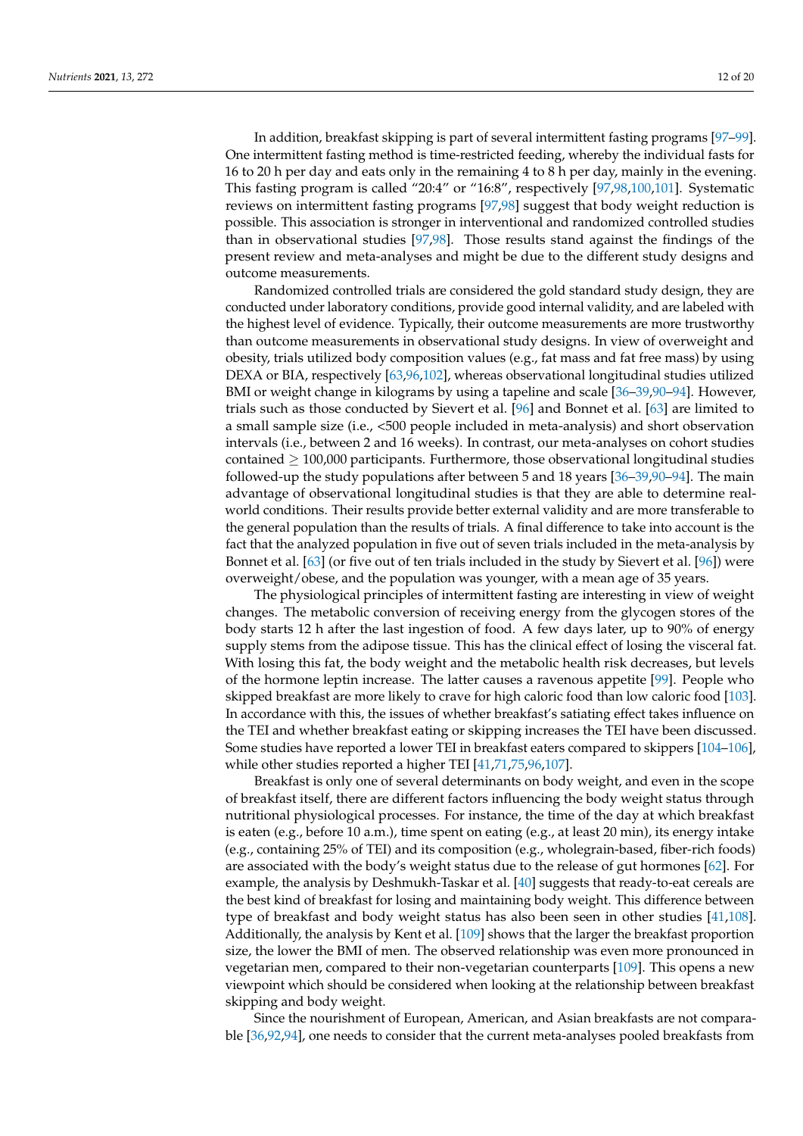In addition, breakfast skipping is part of several intermittent fasting programs [\[97](#page-18-13)[–99\]](#page-18-14). One intermittent fasting method is time-restricted feeding, whereby the individual fasts for 16 to 20 h per day and eats only in the remaining 4 to 8 h per day, mainly in the evening. This fasting program is called "20:4" or "16:8", respectively [\[97](#page-18-13)[,98](#page-18-15)[,100](#page-18-16)[,101\]](#page-18-17). Systematic reviews on intermittent fasting programs [\[97](#page-18-13)[,98\]](#page-18-15) suggest that body weight reduction is possible. This association is stronger in interventional and randomized controlled studies than in observational studies [\[97](#page-18-13)[,98\]](#page-18-15). Those results stand against the findings of the present review and meta-analyses and might be due to the different study designs and outcome measurements.

Randomized controlled trials are considered the gold standard study design, they are conducted under laboratory conditions, provide good internal validity, and are labeled with the highest level of evidence. Typically, their outcome measurements are more trustworthy than outcome measurements in observational study designs. In view of overweight and obesity, trials utilized body composition values (e.g., fat mass and fat free mass) by using DEXA or BIA, respectively [\[63](#page-17-0)[,96,](#page-18-12)[102\]](#page-18-18), whereas observational longitudinal studies utilized BMI or weight change in kilograms by using a tapeline and scale [\[36–](#page-15-19)[39,](#page-16-1)[90–](#page-18-1)[94\]](#page-18-9). However, trials such as those conducted by Sievert et al. [\[96\]](#page-18-12) and Bonnet et al. [\[63\]](#page-17-0) are limited to a small sample size (i.e., <500 people included in meta-analysis) and short observation intervals (i.e., between 2 and 16 weeks). In contrast, our meta-analyses on cohort studies contained  $\geq 100,000$  participants. Furthermore, those observational longitudinal studies followed-up the study populations after between 5 and 18 years [\[36](#page-15-19)[–39,](#page-16-1)[90–](#page-18-1)[94\]](#page-18-9). The main advantage of observational longitudinal studies is that they are able to determine realworld conditions. Their results provide better external validity and are more transferable to the general population than the results of trials. A final difference to take into account is the fact that the analyzed population in five out of seven trials included in the meta-analysis by Bonnet et al. [\[63\]](#page-17-0) (or five out of ten trials included in the study by Sievert et al. [\[96\]](#page-18-12)) were overweight/obese, and the population was younger, with a mean age of 35 years.

The physiological principles of intermittent fasting are interesting in view of weight changes. The metabolic conversion of receiving energy from the glycogen stores of the body starts 12 h after the last ingestion of food. A few days later, up to 90% of energy supply stems from the adipose tissue. This has the clinical effect of losing the visceral fat. With losing this fat, the body weight and the metabolic health risk decreases, but levels of the hormone leptin increase. The latter causes a ravenous appetite [\[99\]](#page-18-14). People who skipped breakfast are more likely to crave for high caloric food than low caloric food [\[103\]](#page-18-19). In accordance with this, the issues of whether breakfast's satiating effect takes influence on the TEI and whether breakfast eating or skipping increases the TEI have been discussed. Some studies have reported a lower TEI in breakfast eaters compared to skippers [\[104–](#page-18-20)[106\]](#page-18-21), while other studies reported a higher TEI [\[41,](#page-16-11)[71,](#page-17-12)[75,](#page-17-13)[96,](#page-18-12)[107\]](#page-18-22).

Breakfast is only one of several determinants on body weight, and even in the scope of breakfast itself, there are different factors influencing the body weight status through nutritional physiological processes. For instance, the time of the day at which breakfast is eaten (e.g., before 10 a.m.), time spent on eating (e.g., at least 20 min), its energy intake (e.g., containing 25% of TEI) and its composition (e.g., wholegrain-based, fiber-rich foods) are associated with the body's weight status due to the release of gut hormones  $[62]$ . For example, the analysis by Deshmukh-Taskar et al. [\[40\]](#page-16-2) suggests that ready-to-eat cereals are the best kind of breakfast for losing and maintaining body weight. This difference between type of breakfast and body weight status has also been seen in other studies [\[41,](#page-16-11)[108\]](#page-18-23). Additionally, the analysis by Kent et al. [\[109\]](#page-18-24) shows that the larger the breakfast proportion size, the lower the BMI of men. The observed relationship was even more pronounced in vegetarian men, compared to their non-vegetarian counterparts [\[109\]](#page-18-24). This opens a new viewpoint which should be considered when looking at the relationship between breakfast skipping and body weight.

Since the nourishment of European, American, and Asian breakfasts are not comparable [\[36](#page-15-19)[,92](#page-18-3)[,94\]](#page-18-9), one needs to consider that the current meta-analyses pooled breakfasts from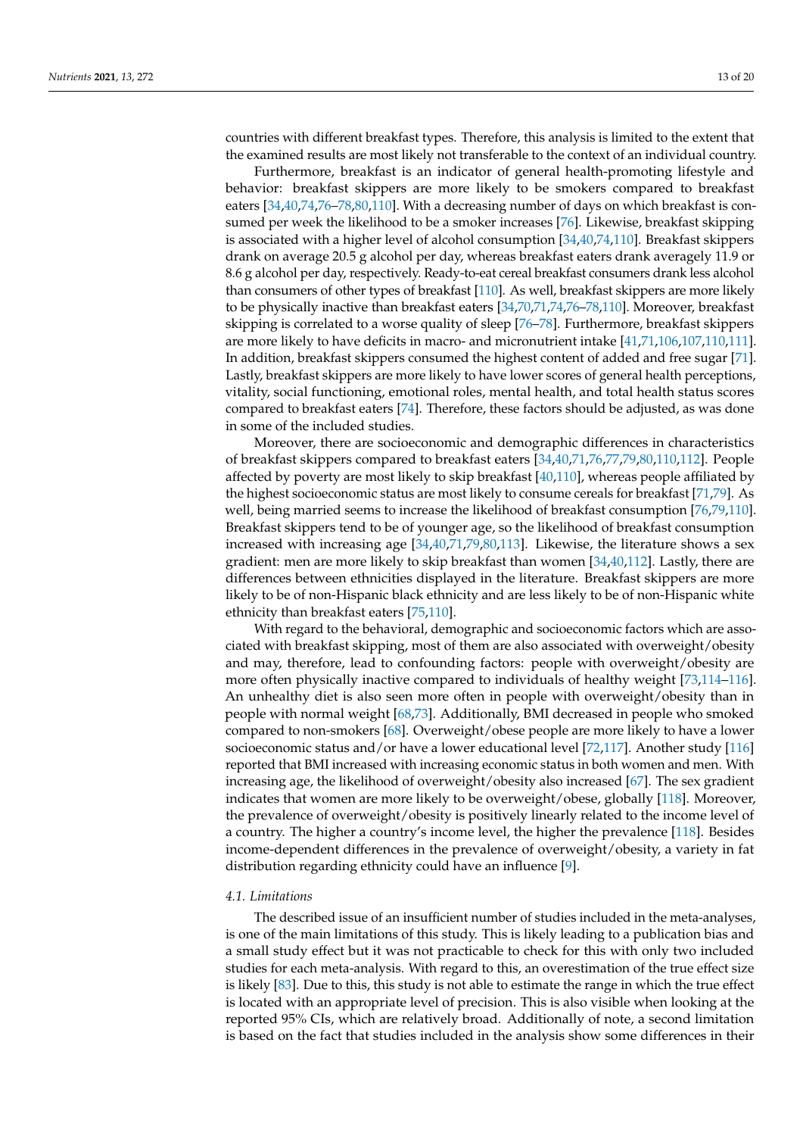countries with different breakfast types. Therefore, this analysis is limited to the extent that the examined results are most likely not transferable to the context of an individual country.

Furthermore, breakfast is an indicator of general health-promoting lifestyle and behavior: breakfast skippers are more likely to be smokers compared to breakfast eaters [\[34](#page-15-15)[,40](#page-16-2)[,74](#page-17-14)[,76–](#page-17-15)[78,](#page-17-16)[80,](#page-17-17)[110\]](#page-18-25). With a decreasing number of days on which breakfast is consumed per week the likelihood to be a smoker increases [\[76\]](#page-17-15). Likewise, breakfast skipping is associated with a higher level of alcohol consumption [\[34,](#page-15-15)[40,](#page-16-2)[74](#page-17-14)[,110\]](#page-18-25). Breakfast skippers drank on average 20.5 g alcohol per day, whereas breakfast eaters drank averagely 11.9 or 8.6 g alcohol per day, respectively. Ready-to-eat cereal breakfast consumers drank less alcohol than consumers of other types of breakfast [\[110\]](#page-18-25). As well, breakfast skippers are more likely to be physically inactive than breakfast eaters [\[34](#page-15-15)[,70,](#page-17-18)[71,](#page-17-12)[74,](#page-17-14)[76–](#page-17-15)[78,](#page-17-16)[110\]](#page-18-25). Moreover, breakfast skipping is correlated to a worse quality of sleep [\[76–](#page-17-15)[78\]](#page-17-16). Furthermore, breakfast skippers are more likely to have deficits in macro- and micronutrient intake [\[41,](#page-16-11)[71,](#page-17-12)[106](#page-18-21)[,107](#page-18-22)[,110](#page-18-25)[,111\]](#page-18-26). In addition, breakfast skippers consumed the highest content of added and free sugar [\[71\]](#page-17-12). Lastly, breakfast skippers are more likely to have lower scores of general health perceptions, vitality, social functioning, emotional roles, mental health, and total health status scores compared to breakfast eaters [\[74\]](#page-17-14). Therefore, these factors should be adjusted, as was done in some of the included studies.

Moreover, there are socioeconomic and demographic differences in characteristics of breakfast skippers compared to breakfast eaters [\[34](#page-15-15)[,40](#page-16-2)[,71](#page-17-12)[,76](#page-17-15)[,77](#page-17-19)[,79](#page-17-20)[,80](#page-17-17)[,110](#page-18-25)[,112\]](#page-18-27). People affected by poverty are most likely to skip breakfast [\[40,](#page-16-2)[110\]](#page-18-25), whereas people affiliated by the highest socioeconomic status are most likely to consume cereals for breakfast [\[71](#page-17-12)[,79\]](#page-17-20). As well, being married seems to increase the likelihood of breakfast consumption [\[76](#page-17-15)[,79](#page-17-20)[,110\]](#page-18-25). Breakfast skippers tend to be of younger age, so the likelihood of breakfast consumption increased with increasing age [\[34](#page-15-15)[,40](#page-16-2)[,71](#page-17-12)[,79](#page-17-20)[,80](#page-17-17)[,113\]](#page-18-28). Likewise, the literature shows a sex gradient: men are more likely to skip breakfast than women [\[34,](#page-15-15)[40,](#page-16-2)[112\]](#page-18-27). Lastly, there are differences between ethnicities displayed in the literature. Breakfast skippers are more likely to be of non-Hispanic black ethnicity and are less likely to be of non-Hispanic white ethnicity than breakfast eaters [\[75,](#page-17-13)[110\]](#page-18-25).

With regard to the behavioral, demographic and socioeconomic factors which are associated with breakfast skipping, most of them are also associated with overweight/obesity and may, therefore, lead to confounding factors: people with overweight/obesity are more often physically inactive compared to individuals of healthy weight [\[73,](#page-17-21)[114](#page-18-29)[–116\]](#page-19-0). An unhealthy diet is also seen more often in people with overweight/obesity than in people with normal weight [\[68,](#page-17-22)[73\]](#page-17-21). Additionally, BMI decreased in people who smoked compared to non-smokers [\[68\]](#page-17-22). Overweight/obese people are more likely to have a lower socioeconomic status and/or have a lower educational level [\[72,](#page-17-23)[117\]](#page-19-1). Another study [\[116\]](#page-19-0) reported that BMI increased with increasing economic status in both women and men. With increasing age, the likelihood of overweight/obesity also increased [\[67\]](#page-17-24). The sex gradient indicates that women are more likely to be overweight/obese, globally [\[118\]](#page-19-2). Moreover, the prevalence of overweight/obesity is positively linearly related to the income level of a country. The higher a country's income level, the higher the prevalence [\[118\]](#page-19-2). Besides income-dependent differences in the prevalence of overweight/obesity, a variety in fat distribution regarding ethnicity could have an influence [\[9\]](#page-15-20).

### *4.1. Limitations*

The described issue of an insufficient number of studies included in the meta-analyses, is one of the main limitations of this study. This is likely leading to a publication bias and a small study effect but it was not practicable to check for this with only two included studies for each meta-analysis. With regard to this, an overestimation of the true effect size is likely [\[83\]](#page-17-6). Due to this, this study is not able to estimate the range in which the true effect is located with an appropriate level of precision. This is also visible when looking at the reported 95% CIs, which are relatively broad. Additionally of note, a second limitation is based on the fact that studies included in the analysis show some differences in their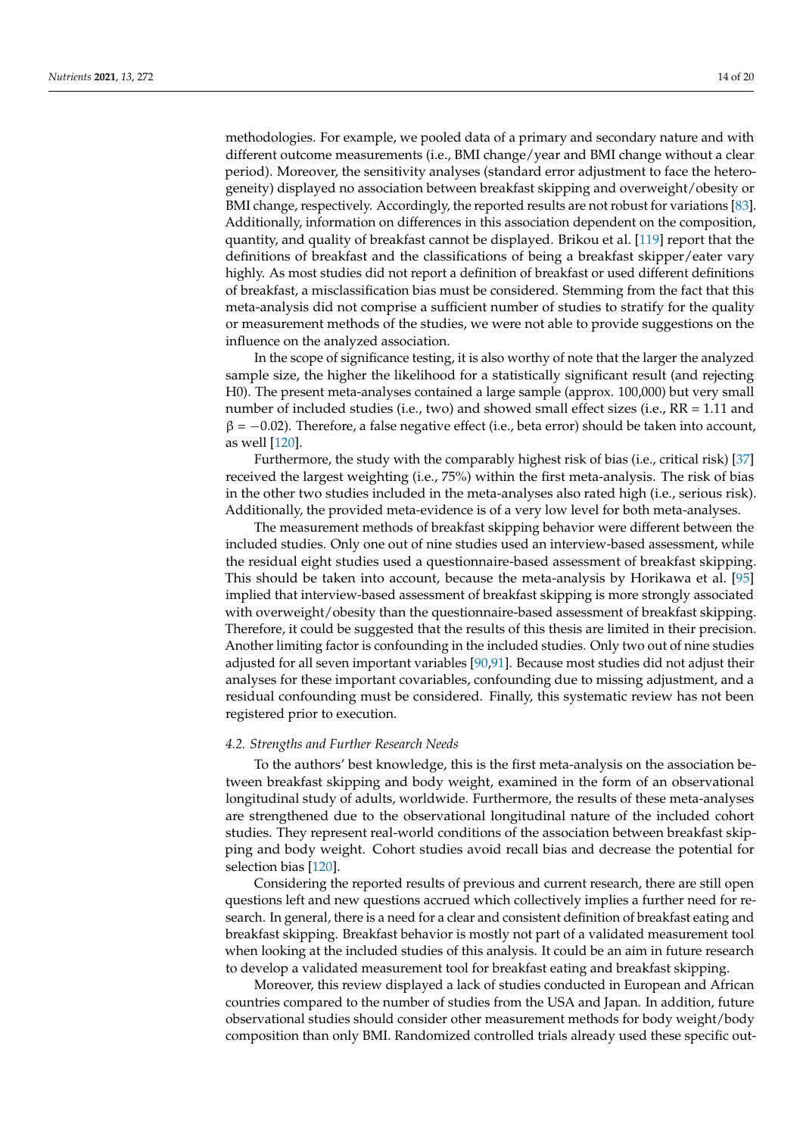methodologies. For example, we pooled data of a primary and secondary nature and with different outcome measurements (i.e., BMI change/year and BMI change without a clear period). Moreover, the sensitivity analyses (standard error adjustment to face the heterogeneity) displayed no association between breakfast skipping and overweight/obesity or BMI change, respectively. Accordingly, the reported results are not robust for variations [\[83\]](#page-17-6). Additionally, information on differences in this association dependent on the composition, quantity, and quality of breakfast cannot be displayed. Brikou et al. [\[119\]](#page-19-3) report that the definitions of breakfast and the classifications of being a breakfast skipper/eater vary highly. As most studies did not report a definition of breakfast or used different definitions of breakfast, a misclassification bias must be considered. Stemming from the fact that this meta-analysis did not comprise a sufficient number of studies to stratify for the quality or measurement methods of the studies, we were not able to provide suggestions on the influence on the analyzed association.

In the scope of significance testing, it is also worthy of note that the larger the analyzed sample size, the higher the likelihood for a statistically significant result (and rejecting H0). The present meta-analyses contained a large sample (approx. 100,000) but very small number of included studies (i.e., two) and showed small effect sizes (i.e., RR = 1.11 and  $\beta = -0.02$ ). Therefore, a false negative effect (i.e., beta error) should be taken into account, as well [\[120\]](#page-19-4).

Furthermore, the study with the comparably highest risk of bias (i.e., critical risk) [\[37\]](#page-16-7) received the largest weighting (i.e., 75%) within the first meta-analysis. The risk of bias in the other two studies included in the meta-analyses also rated high (i.e., serious risk). Additionally, the provided meta-evidence is of a very low level for both meta-analyses.

The measurement methods of breakfast skipping behavior were different between the included studies. Only one out of nine studies used an interview-based assessment, while the residual eight studies used a questionnaire-based assessment of breakfast skipping. This should be taken into account, because the meta-analysis by Horikawa et al. [\[95\]](#page-18-11) implied that interview-based assessment of breakfast skipping is more strongly associated with overweight/obesity than the questionnaire-based assessment of breakfast skipping. Therefore, it could be suggested that the results of this thesis are limited in their precision. Another limiting factor is confounding in the included studies. Only two out of nine studies adjusted for all seven important variables [\[90](#page-18-1)[,91\]](#page-18-2). Because most studies did not adjust their analyses for these important covariables, confounding due to missing adjustment, and a residual confounding must be considered. Finally, this systematic review has not been registered prior to execution.

#### *4.2. Strengths and Further Research Needs*

To the authors' best knowledge, this is the first meta-analysis on the association between breakfast skipping and body weight, examined in the form of an observational longitudinal study of adults, worldwide. Furthermore, the results of these meta-analyses are strengthened due to the observational longitudinal nature of the included cohort studies. They represent real-world conditions of the association between breakfast skipping and body weight. Cohort studies avoid recall bias and decrease the potential for selection bias [\[120\]](#page-19-4).

Considering the reported results of previous and current research, there are still open questions left and new questions accrued which collectively implies a further need for research. In general, there is a need for a clear and consistent definition of breakfast eating and breakfast skipping. Breakfast behavior is mostly not part of a validated measurement tool when looking at the included studies of this analysis. It could be an aim in future research to develop a validated measurement tool for breakfast eating and breakfast skipping.

Moreover, this review displayed a lack of studies conducted in European and African countries compared to the number of studies from the USA and Japan. In addition, future observational studies should consider other measurement methods for body weight/body composition than only BMI. Randomized controlled trials already used these specific out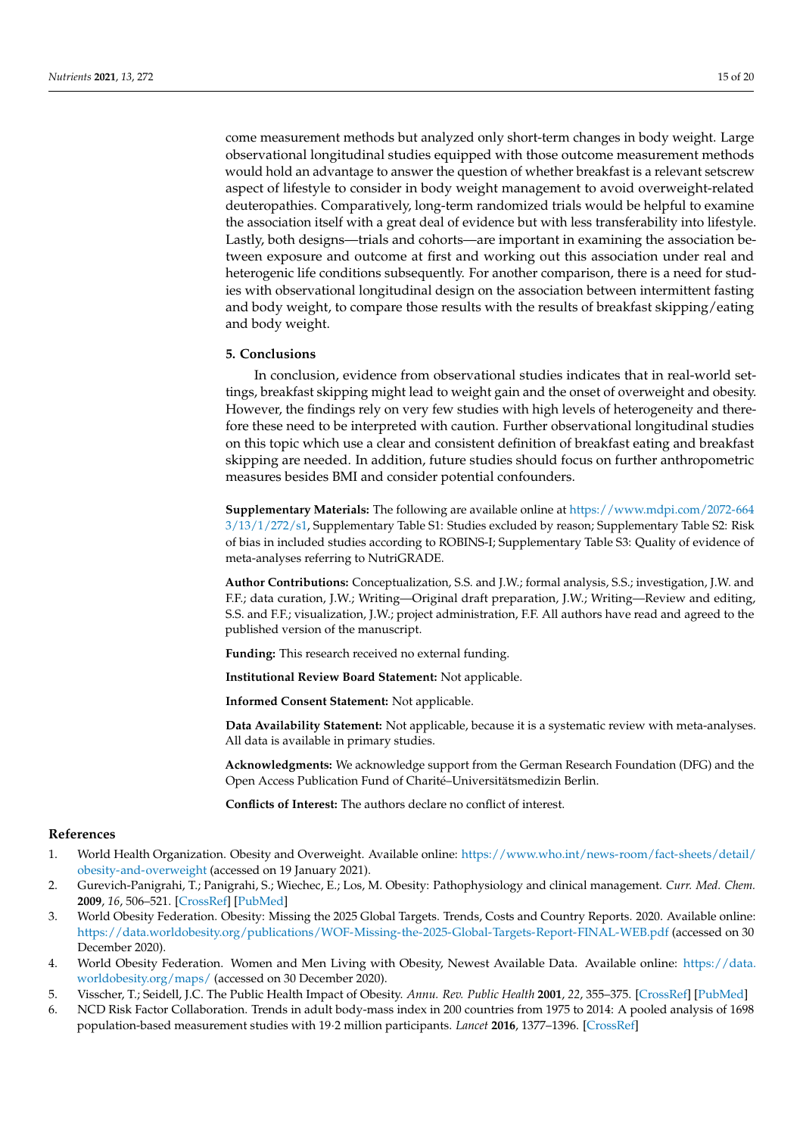come measurement methods but analyzed only short-term changes in body weight. Large observational longitudinal studies equipped with those outcome measurement methods would hold an advantage to answer the question of whether breakfast is a relevant setscrew aspect of lifestyle to consider in body weight management to avoid overweight-related deuteropathies. Comparatively, long-term randomized trials would be helpful to examine the association itself with a great deal of evidence but with less transferability into lifestyle. Lastly, both designs—trials and cohorts—are important in examining the association between exposure and outcome at first and working out this association under real and heterogenic life conditions subsequently. For another comparison, there is a need for studies with observational longitudinal design on the association between intermittent fasting and body weight, to compare those results with the results of breakfast skipping/eating and body weight.

#### **5. Conclusions**

In conclusion, evidence from observational studies indicates that in real-world settings, breakfast skipping might lead to weight gain and the onset of overweight and obesity. However, the findings rely on very few studies with high levels of heterogeneity and therefore these need to be interpreted with caution. Further observational longitudinal studies on this topic which use a clear and consistent definition of breakfast eating and breakfast skipping are needed. In addition, future studies should focus on further anthropometric measures besides BMI and consider potential confounders.

**Supplementary Materials:** The following are available online at [https://www.mdpi.com/2072-664](https://www.mdpi.com/2072-6643/13/1/272/s1) [3/13/1/272/s1,](https://www.mdpi.com/2072-6643/13/1/272/s1) Supplementary Table S1: Studies excluded by reason; Supplementary Table S2: Risk of bias in included studies according to ROBINS-I; Supplementary Table S3: Quality of evidence of meta-analyses referring to NutriGRADE.

**Author Contributions:** Conceptualization, S.S. and J.W.; formal analysis, S.S.; investigation, J.W. and F.F.; data curation, J.W.; Writing—Original draft preparation, J.W.; Writing—Review and editing, S.S. and F.F.; visualization, J.W.; project administration, F.F. All authors have read and agreed to the published version of the manuscript.

**Funding:** This research received no external funding.

**Institutional Review Board Statement:** Not applicable.

**Informed Consent Statement:** Not applicable.

**Data Availability Statement:** Not applicable, because it is a systematic review with meta-analyses. All data is available in primary studies.

**Acknowledgments:** We acknowledge support from the German Research Foundation (DFG) and the Open Access Publication Fund of Charité–Universitätsmedizin Berlin.

**Conflicts of Interest:** The authors declare no conflict of interest.

#### **References**

- <span id="page-14-0"></span>1. World Health Organization. Obesity and Overweight. Available online: [https://www.who.int/news-room/fact-sheets/detail/](https://www.who.int/news-room/fact-sheets/detail/obesity-and-overweight) [obesity-and-overweight](https://www.who.int/news-room/fact-sheets/detail/obesity-and-overweight) (accessed on 19 January 2021).
- <span id="page-14-1"></span>2. Gurevich-Panigrahi, T.; Panigrahi, S.; Wiechec, E.; Los, M. Obesity: Pathophysiology and clinical management. *Curr. Med. Chem.* **2009**, *16*, 506–521. [\[CrossRef\]](http://doi.org/10.2174/092986709787315568) [\[PubMed\]](http://www.ncbi.nlm.nih.gov/pubmed/19199918)
- <span id="page-14-2"></span>3. World Obesity Federation. Obesity: Missing the 2025 Global Targets. Trends, Costs and Country Reports. 2020. Available online: <https://data.worldobesity.org/publications/WOF-Missing-the-2025-Global-Targets-Report-FINAL-WEB.pdf> (accessed on 30 December 2020).
- <span id="page-14-3"></span>4. World Obesity Federation. Women and Men Living with Obesity, Newest Available Data. Available online: [https://data.](https://data.worldobesity.org/maps/) [worldobesity.org/maps/](https://data.worldobesity.org/maps/) (accessed on 30 December 2020).
- <span id="page-14-4"></span>5. Visscher, T.; Seidell, J.C. The Public Health Impact of Obesity. *Annu. Rev. Public Health* **2001**, *22*, 355–375. [\[CrossRef\]](http://doi.org/10.1146/annurev.publhealth.22.1.355) [\[PubMed\]](http://www.ncbi.nlm.nih.gov/pubmed/11274526)
- <span id="page-14-5"></span>6. NCD Risk Factor Collaboration. Trends in adult body-mass index in 200 countries from 1975 to 2014: A pooled analysis of 1698 population-based measurement studies with 19·2 million participants. *Lancet* **2016**, 1377–1396. [\[CrossRef\]](http://doi.org/10.1016/S0140-6736(16)30054-X)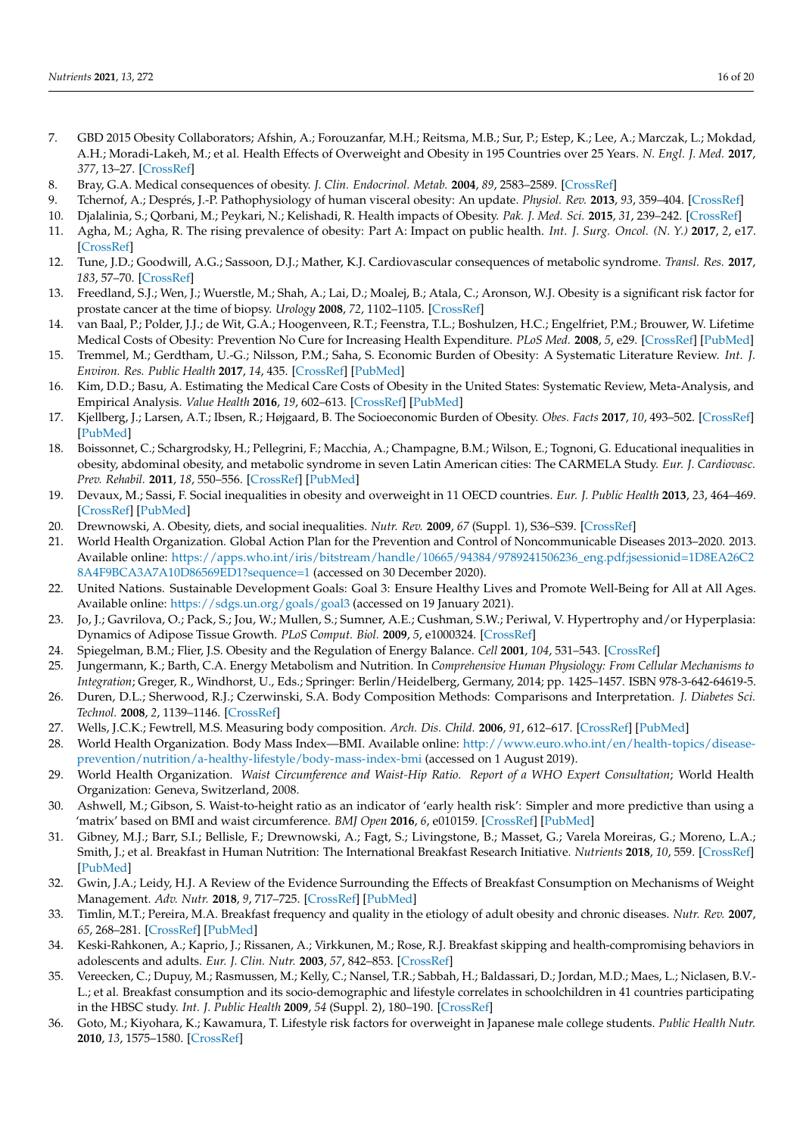- <span id="page-15-0"></span>7. GBD 2015 Obesity Collaborators; Afshin, A.; Forouzanfar, M.H.; Reitsma, M.B.; Sur, P.; Estep, K.; Lee, A.; Marczak, L.; Mokdad, A.H.; Moradi-Lakeh, M.; et al. Health Effects of Overweight and Obesity in 195 Countries over 25 Years. *N. Engl. J. Med.* **2017**, *377*, 13–27. [\[CrossRef\]](http://doi.org/10.1056/NEJMoa1614362)
- <span id="page-15-1"></span>8. Bray, G.A. Medical consequences of obesity. *J. Clin. Endocrinol. Metab.* **2004**, *89*, 2583–2589. [\[CrossRef\]](http://doi.org/10.1210/jc.2004-0535)
- <span id="page-15-20"></span>9. Tchernof, A.; Després, J.-P. Pathophysiology of human visceral obesity: An update. *Physiol. Rev.* **2013**, *93*, 359–404. [\[CrossRef\]](http://doi.org/10.1152/physrev.00033.2011)
- 10. Djalalinia, S.; Qorbani, M.; Peykari, N.; Kelishadi, R. Health impacts of Obesity. *Pak. J. Med. Sci.* **2015**, *31*, 239–242. [\[CrossRef\]](http://doi.org/10.12669/pjms.311.7033)
- 11. Agha, M.; Agha, R. The rising prevalence of obesity: Part A: Impact on public health. *Int. J. Surg. Oncol. (N. Y.)* **2017**, *2*, e17. [\[CrossRef\]](http://doi.org/10.1097/IJ9.0000000000000017)
- 12. Tune, J.D.; Goodwill, A.G.; Sassoon, D.J.; Mather, K.J. Cardiovascular consequences of metabolic syndrome. *Transl. Res.* **2017**, *183*, 57–70. [\[CrossRef\]](http://doi.org/10.1016/j.trsl.2017.01.001)
- <span id="page-15-2"></span>13. Freedland, S.J.; Wen, J.; Wuerstle, M.; Shah, A.; Lai, D.; Moalej, B.; Atala, C.; Aronson, W.J. Obesity is a significant risk factor for prostate cancer at the time of biopsy. *Urology* **2008**, *72*, 1102–1105. [\[CrossRef\]](http://doi.org/10.1016/j.urology.2008.05.044)
- <span id="page-15-3"></span>14. van Baal, P.; Polder, J.J.; de Wit, G.A.; Hoogenveen, R.T.; Feenstra, T.L.; Boshulzen, H.C.; Engelfriet, P.M.; Brouwer, W. Lifetime Medical Costs of Obesity: Prevention No Cure for Increasing Health Expenditure. *PLoS Med.* **2008**, *5*, e29. [\[CrossRef\]](http://doi.org/10.1371/journal.pmed.0050029) [\[PubMed\]](http://www.ncbi.nlm.nih.gov/pubmed/18254654)
- 15. Tremmel, M.; Gerdtham, U.-G.; Nilsson, P.M.; Saha, S. Economic Burden of Obesity: A Systematic Literature Review. *Int. J. Environ. Res. Public Health* **2017**, *14*, 435. [\[CrossRef\]](http://doi.org/10.3390/ijerph14040435) [\[PubMed\]](http://www.ncbi.nlm.nih.gov/pubmed/28422077)
- 16. Kim, D.D.; Basu, A. Estimating the Medical Care Costs of Obesity in the United States: Systematic Review, Meta-Analysis, and Empirical Analysis. *Value Health* **2016**, *19*, 602–613. [\[CrossRef\]](http://doi.org/10.1016/j.jval.2016.02.008) [\[PubMed\]](http://www.ncbi.nlm.nih.gov/pubmed/27565277)
- 17. Kjellberg, J.; Larsen, A.T.; Ibsen, R.; Højgaard, B. The Socioeconomic Burden of Obesity. *Obes. Facts* **2017**, *10*, 493–502. [\[CrossRef\]](http://doi.org/10.1159/000480404) [\[PubMed\]](http://www.ncbi.nlm.nih.gov/pubmed/29020681)
- 18. Boissonnet, C.; Schargrodsky, H.; Pellegrini, F.; Macchia, A.; Champagne, B.M.; Wilson, E.; Tognoni, G. Educational inequalities in obesity, abdominal obesity, and metabolic syndrome in seven Latin American cities: The CARMELA Study. *Eur. J. Cardiovasc. Prev. Rehabil.* **2011**, *18*, 550–556. [\[CrossRef\]](http://doi.org/10.1177/1741826710389418) [\[PubMed\]](http://www.ncbi.nlm.nih.gov/pubmed/21450632)
- <span id="page-15-16"></span>19. Devaux, M.; Sassi, F. Social inequalities in obesity and overweight in 11 OECD countries. *Eur. J. Public Health* **2013**, *23*, 464–469. [\[CrossRef\]](http://doi.org/10.1093/eurpub/ckr058) [\[PubMed\]](http://www.ncbi.nlm.nih.gov/pubmed/21646363)
- <span id="page-15-4"></span>20. Drewnowski, A. Obesity, diets, and social inequalities. *Nutr. Rev.* **2009**, *67* (Suppl. 1), S36–S39. [\[CrossRef\]](http://doi.org/10.1111/j.1753-4887.2009.00157.x)
- <span id="page-15-5"></span>21. World Health Organization. Global Action Plan for the Prevention and Control of Noncommunicable Diseases 2013–2020. 2013. Available online: [https://apps.who.int/iris/bitstream/handle/10665/94384/9789241506236\\_eng.pdf;jsessionid=1D8EA26C2](https://apps.who.int/iris/bitstream/handle/10665/94384/9789241506236_eng.pdf;jsessionid=1D8EA26C28A4F9BCA3A7A10D86569ED1?sequence=1) [8A4F9BCA3A7A10D86569ED1?sequence=1](https://apps.who.int/iris/bitstream/handle/10665/94384/9789241506236_eng.pdf;jsessionid=1D8EA26C28A4F9BCA3A7A10D86569ED1?sequence=1) (accessed on 30 December 2020).
- <span id="page-15-6"></span>22. United Nations. Sustainable Development Goals: Goal 3: Ensure Healthy Lives and Promote Well-Being for All at All Ages. Available online: <https://sdgs.un.org/goals/goal3> (accessed on 19 January 2021).
- <span id="page-15-7"></span>23. Jo, J.; Gavrilova, O.; Pack, S.; Jou, W.; Mullen, S.; Sumner, A.E.; Cushman, S.W.; Periwal, V. Hypertrophy and/or Hyperplasia: Dynamics of Adipose Tissue Growth. *PLoS Comput. Biol.* **2009**, *5*, e1000324. [\[CrossRef\]](http://doi.org/10.1371/journal.pcbi.1000324)
- <span id="page-15-18"></span><span id="page-15-8"></span>24. Spiegelman, B.M.; Flier, J.S. Obesity and the Regulation of Energy Balance. *Cell* **2001**, *104*, 531–543. [\[CrossRef\]](http://doi.org/10.1016/S0092-8674(01)00240-9)
- <span id="page-15-9"></span>25. Jungermann, K.; Barth, C.A. Energy Metabolism and Nutrition. In *Comprehensive Human Physiology: From Cellular Mechanisms to Integration*; Greger, R., Windhorst, U., Eds.; Springer: Berlin/Heidelberg, Germany, 2014; pp. 1425–1457. ISBN 978-3-642-64619-5.
- <span id="page-15-17"></span><span id="page-15-10"></span>26. Duren, D.L.; Sherwood, R.J.; Czerwinski, S.A. Body Composition Methods: Comparisons and Interpretation. *J. Diabetes Sci. Technol.* **2008**, *2*, 1139–1146. [\[CrossRef\]](http://doi.org/10.1177/193229680800200623)
- 27. Wells, J.C.K.; Fewtrell, M.S. Measuring body composition. *Arch. Dis. Child.* **2006**, *91*, 612–617. [\[CrossRef\]](http://doi.org/10.1136/adc.2005.085522) [\[PubMed\]](http://www.ncbi.nlm.nih.gov/pubmed/16790722)
- 28. World Health Organization. Body Mass Index—BMI. Available online: [http://www.euro.who.int/en/health-topics/disease](http://www.euro.who.int/en/health-topics/disease-prevention/nutrition/a-healthy-lifestyle/body-mass-index-bmi)[prevention/nutrition/a-healthy-lifestyle/body-mass-index-bmi](http://www.euro.who.int/en/health-topics/disease-prevention/nutrition/a-healthy-lifestyle/body-mass-index-bmi) (accessed on 1 August 2019).
- 29. World Health Organization. *Waist Circumference and Waist-Hip Ratio. Report of a WHO Expert Consultation*; World Health Organization: Geneva, Switzerland, 2008.
- <span id="page-15-11"></span>30. Ashwell, M.; Gibson, S. Waist-to-height ratio as an indicator of 'early health risk': Simpler and more predictive than using a 'matrix' based on BMI and waist circumference. *BMJ Open* **2016**, *6*, e010159. [\[CrossRef\]](http://doi.org/10.1136/bmjopen-2015-010159) [\[PubMed\]](http://www.ncbi.nlm.nih.gov/pubmed/26975935)
- <span id="page-15-12"></span>31. Gibney, M.J.; Barr, S.I.; Bellisle, F.; Drewnowski, A.; Fagt, S.; Livingstone, B.; Masset, G.; Varela Moreiras, G.; Moreno, L.A.; Smith, J.; et al. Breakfast in Human Nutrition: The International Breakfast Research Initiative. *Nutrients* **2018**, *10*, 559. [\[CrossRef\]](http://doi.org/10.3390/nu10050559) [\[PubMed\]](http://www.ncbi.nlm.nih.gov/pubmed/29723985)
- <span id="page-15-14"></span>32. Gwin, J.A.; Leidy, H.J. A Review of the Evidence Surrounding the Effects of Breakfast Consumption on Mechanisms of Weight Management. *Adv. Nutr.* **2018**, *9*, 717–725. [\[CrossRef\]](http://doi.org/10.1093/advances/nmy047) [\[PubMed\]](http://www.ncbi.nlm.nih.gov/pubmed/30204837)
- <span id="page-15-13"></span>33. Timlin, M.T.; Pereira, M.A. Breakfast frequency and quality in the etiology of adult obesity and chronic diseases. *Nutr. Rev.* **2007**, *65*, 268–281. [\[CrossRef\]](http://doi.org/10.1111/j.1753-4887.2007.tb00304.x) [\[PubMed\]](http://www.ncbi.nlm.nih.gov/pubmed/17605303)
- <span id="page-15-15"></span>34. Keski-Rahkonen, A.; Kaprio, J.; Rissanen, A.; Virkkunen, M.; Rose, R.J. Breakfast skipping and health-compromising behaviors in adolescents and adults. *Eur. J. Clin. Nutr.* **2003**, *57*, 842–853. [\[CrossRef\]](http://doi.org/10.1038/sj.ejcn.1601618)
- 35. Vereecken, C.; Dupuy, M.; Rasmussen, M.; Kelly, C.; Nansel, T.R.; Sabbah, H.; Baldassari, D.; Jordan, M.D.; Maes, L.; Niclasen, B.V.- L.; et al. Breakfast consumption and its socio-demographic and lifestyle correlates in schoolchildren in 41 countries participating in the HBSC study. *Int. J. Public Health* **2009**, *54* (Suppl. 2), 180–190. [\[CrossRef\]](http://doi.org/10.1007/s00038-009-5409-5)
- <span id="page-15-19"></span>36. Goto, M.; Kiyohara, K.; Kawamura, T. Lifestyle risk factors for overweight in Japanese male college students. *Public Health Nutr.* **2010**, *13*, 1575–1580. [\[CrossRef\]](http://doi.org/10.1017/S1368980009992813)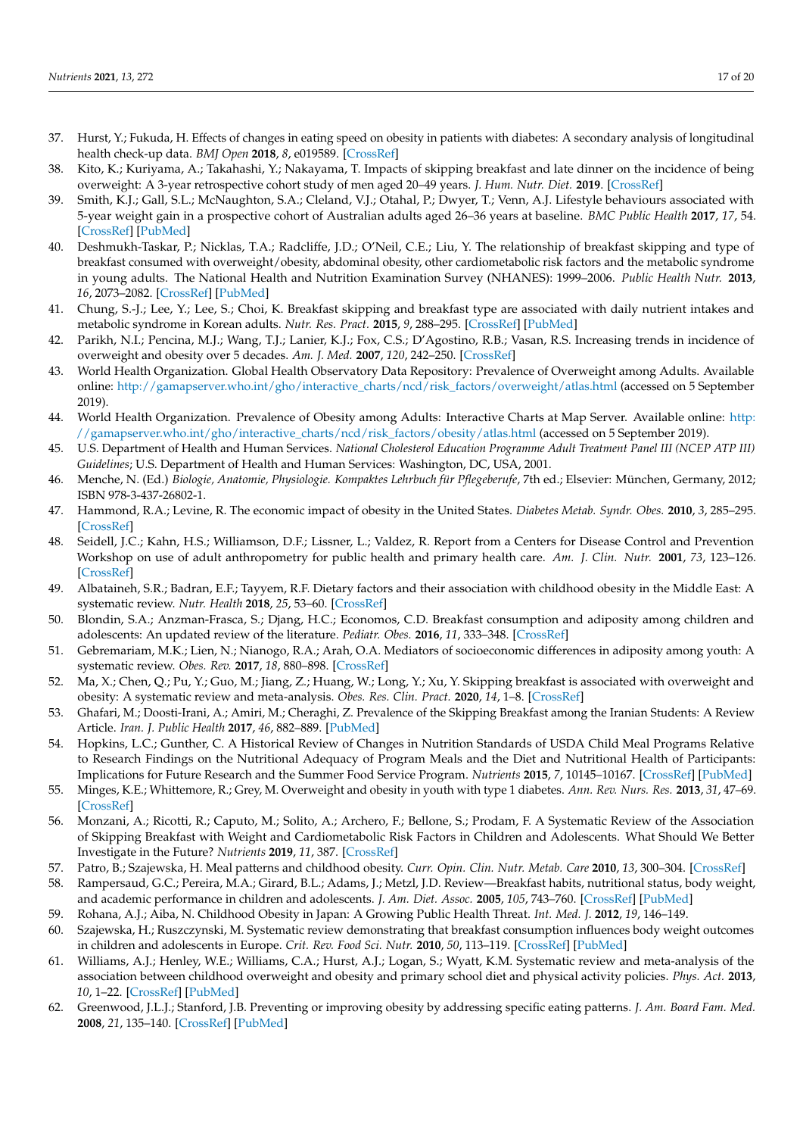- <span id="page-16-10"></span><span id="page-16-9"></span><span id="page-16-8"></span><span id="page-16-7"></span>37. Hurst, Y.; Fukuda, H. Effects of changes in eating speed on obesity in patients with diabetes: A secondary analysis of longitudinal health check-up data. *BMJ Open* **2018**, *8*, e019589. [\[CrossRef\]](http://doi.org/10.1136/bmjopen-2017-019589)
- <span id="page-16-0"></span>38. Kito, K.; Kuriyama, A.; Takahashi, Y.; Nakayama, T. Impacts of skipping breakfast and late dinner on the incidence of being overweight: A 3-year retrospective cohort study of men aged 20–49 years. *J. Hum. Nutr. Diet.* **2019**. [\[CrossRef\]](http://doi.org/10.1111/jhn.12640)
- <span id="page-16-1"></span>39. Smith, K.J.; Gall, S.L.; McNaughton, S.A.; Cleland, V.J.; Otahal, P.; Dwyer, T.; Venn, A.J. Lifestyle behaviours associated with 5-year weight gain in a prospective cohort of Australian adults aged 26–36 years at baseline. *BMC Public Health* **2017**, *17*, 54. [\[CrossRef\]](http://doi.org/10.1186/s12889-016-3931-y) [\[PubMed\]](http://www.ncbi.nlm.nih.gov/pubmed/28068968)
- <span id="page-16-2"></span>40. Deshmukh-Taskar, P.; Nicklas, T.A.; Radcliffe, J.D.; O'Neil, C.E.; Liu, Y. The relationship of breakfast skipping and type of breakfast consumed with overweight/obesity, abdominal obesity, other cardiometabolic risk factors and the metabolic syndrome in young adults. The National Health and Nutrition Examination Survey (NHANES): 1999–2006. *Public Health Nutr.* **2013**, *16*, 2073–2082. [\[CrossRef\]](http://doi.org/10.1017/S1368980012004296) [\[PubMed\]](http://www.ncbi.nlm.nih.gov/pubmed/23031568)
- <span id="page-16-11"></span>41. Chung, S.-J.; Lee, Y.; Lee, S.; Choi, K. Breakfast skipping and breakfast type are associated with daily nutrient intakes and metabolic syndrome in Korean adults. *Nutr. Res. Pract.* **2015**, *9*, 288–295. [\[CrossRef\]](http://doi.org/10.4162/nrp.2015.9.3.288) [\[PubMed\]](http://www.ncbi.nlm.nih.gov/pubmed/26060541)
- 42. Parikh, N.I.; Pencina, M.J.; Wang, T.J.; Lanier, K.J.; Fox, C.S.; D'Agostino, R.B.; Vasan, R.S. Increasing trends in incidence of overweight and obesity over 5 decades. *Am. J. Med.* **2007**, *120*, 242–250. [\[CrossRef\]](http://doi.org/10.1016/j.amjmed.2006.06.004)
- 43. World Health Organization. Global Health Observatory Data Repository: Prevalence of Overweight among Adults. Available online: [http://gamapserver.who.int/gho/interactive\\_charts/ncd/risk\\_factors/overweight/atlas.html](http://gamapserver.who.int/gho/interactive_charts/ncd/risk_factors/overweight/atlas.html) (accessed on 5 September 2019).
- 44. World Health Organization. Prevalence of Obesity among Adults: Interactive Charts at Map Server. Available online: [http:](http://gamapserver.who.int/gho/interactive_charts/ncd/risk_factors/obesity/atlas.html) [//gamapserver.who.int/gho/interactive\\_charts/ncd/risk\\_factors/obesity/atlas.html](http://gamapserver.who.int/gho/interactive_charts/ncd/risk_factors/obesity/atlas.html) (accessed on 5 September 2019).
- 45. U.S. Department of Health and Human Services. *National Cholesterol Education Programme Adult Treatment Panel III (NCEP ATP III) Guidelines*; U.S. Department of Health and Human Services: Washington, DC, USA, 2001.
- 46. Menche, N. (Ed.) *Biologie, Anatomie, Physiologie. Kompaktes Lehrbuch für Pflegeberufe*, 7th ed.; Elsevier: München, Germany, 2012; ISBN 978-3-437-26802-1.
- 47. Hammond, R.A.; Levine, R. The economic impact of obesity in the United States. *Diabetes Metab. Syndr. Obes.* **2010**, *3*, 285–295. [\[CrossRef\]](http://doi.org/10.2147/DMSO.S7384)
- 48. Seidell, J.C.; Kahn, H.S.; Williamson, D.F.; Lissner, L.; Valdez, R. Report from a Centers for Disease Control and Prevention Workshop on use of adult anthropometry for public health and primary health care. *Am. J. Clin. Nutr.* **2001**, *73*, 123–126. [\[CrossRef\]](http://doi.org/10.1093/ajcn/73.1.123)
- 49. Albataineh, S.R.; Badran, E.F.; Tayyem, R.F. Dietary factors and their association with childhood obesity in the Middle East: A systematic review. *Nutr. Health* **2018**, *25*, 53–60. [\[CrossRef\]](http://doi.org/10.1177/0260106018803243)
- 50. Blondin, S.A.; Anzman-Frasca, S.; Djang, H.C.; Economos, C.D. Breakfast consumption and adiposity among children and adolescents: An updated review of the literature. *Pediatr. Obes.* **2016**, *11*, 333–348. [\[CrossRef\]](http://doi.org/10.1111/ijpo.12082)
- 51. Gebremariam, M.K.; Lien, N.; Nianogo, R.A.; Arah, O.A. Mediators of socioeconomic differences in adiposity among youth: A systematic review. *Obes. Rev.* **2017**, *18*, 880–898. [\[CrossRef\]](http://doi.org/10.1111/obr.12547)
- <span id="page-16-3"></span>52. Ma, X.; Chen, Q.; Pu, Y.; Guo, M.; Jiang, Z.; Huang, W.; Long, Y.; Xu, Y. Skipping breakfast is associated with overweight and obesity: A systematic review and meta-analysis. *Obes. Res. Clin. Pract.* **2020**, *14*, 1–8. [\[CrossRef\]](http://doi.org/10.1016/j.orcp.2019.12.002)
- <span id="page-16-4"></span>53. Ghafari, M.; Doosti-Irani, A.; Amiri, M.; Cheraghi, Z. Prevalence of the Skipping Breakfast among the Iranian Students: A Review Article. *Iran. J. Public Health* **2017**, *46*, 882–889. [\[PubMed\]](http://www.ncbi.nlm.nih.gov/pubmed/28845398)
- 54. Hopkins, L.C.; Gunther, C. A Historical Review of Changes in Nutrition Standards of USDA Child Meal Programs Relative to Research Findings on the Nutritional Adequacy of Program Meals and the Diet and Nutritional Health of Participants: Implications for Future Research and the Summer Food Service Program. *Nutrients* **2015**, *7*, 10145–10167. [\[CrossRef\]](http://doi.org/10.3390/nu7125523) [\[PubMed\]](http://www.ncbi.nlm.nih.gov/pubmed/26690207)
- <span id="page-16-5"></span>55. Minges, K.E.; Whittemore, R.; Grey, M. Overweight and obesity in youth with type 1 diabetes. *Ann. Rev. Nurs. Res.* **2013**, *31*, 47–69. [\[CrossRef\]](http://doi.org/10.1891/0739-6686.31.47)
- <span id="page-16-6"></span>56. Monzani, A.; Ricotti, R.; Caputo, M.; Solito, A.; Archero, F.; Bellone, S.; Prodam, F. A Systematic Review of the Association of Skipping Breakfast with Weight and Cardiometabolic Risk Factors in Children and Adolescents. What Should We Better Investigate in the Future? *Nutrients* **2019**, *11*, 387. [\[CrossRef\]](http://doi.org/10.3390/nu11020387)
- 57. Patro, B.; Szajewska, H. Meal patterns and childhood obesity. *Curr. Opin. Clin. Nutr. Metab. Care* **2010**, *13*, 300–304. [\[CrossRef\]](http://doi.org/10.1097/MCO.0b013e32833681a2)
- 58. Rampersaud, G.C.; Pereira, M.A.; Girard, B.L.; Adams, J.; Metzl, J.D. Review—Breakfast habits, nutritional status, body weight, and academic performance in children and adolescents. *J. Am. Diet. Assoc.* **2005**, *105*, 743–760. [\[CrossRef\]](http://doi.org/10.1016/j.jada.2005.02.007) [\[PubMed\]](http://www.ncbi.nlm.nih.gov/pubmed/15883552)
- 59. Rohana, A.J.; Aiba, N. Childhood Obesity in Japan: A Growing Public Health Threat. *Int. Med. J.* **2012**, *19*, 146–149.
- 60. Szajewska, H.; Ruszczynski, M. Systematic review demonstrating that breakfast consumption influences body weight outcomes in children and adolescents in Europe. *Crit. Rev. Food Sci. Nutr.* **2010**, *50*, 113–119. [\[CrossRef\]](http://doi.org/10.1080/10408390903467514) [\[PubMed\]](http://www.ncbi.nlm.nih.gov/pubmed/20112153)
- 61. Williams, A.J.; Henley, W.E.; Williams, C.A.; Hurst, A.J.; Logan, S.; Wyatt, K.M. Systematic review and meta-analysis of the association between childhood overweight and obesity and primary school diet and physical activity policies. *Phys. Act.* **2013**, *10*, 1–22. [\[CrossRef\]](http://doi.org/10.1186/1479-5868-10-101) [\[PubMed\]](http://www.ncbi.nlm.nih.gov/pubmed/23965018)
- <span id="page-16-12"></span>62. Greenwood, J.L.J.; Stanford, J.B. Preventing or improving obesity by addressing specific eating patterns. *J. Am. Board Fam. Med.* **2008**, *21*, 135–140. [\[CrossRef\]](http://doi.org/10.3122/jabfm.2008.02.070034) [\[PubMed\]](http://www.ncbi.nlm.nih.gov/pubmed/18343861)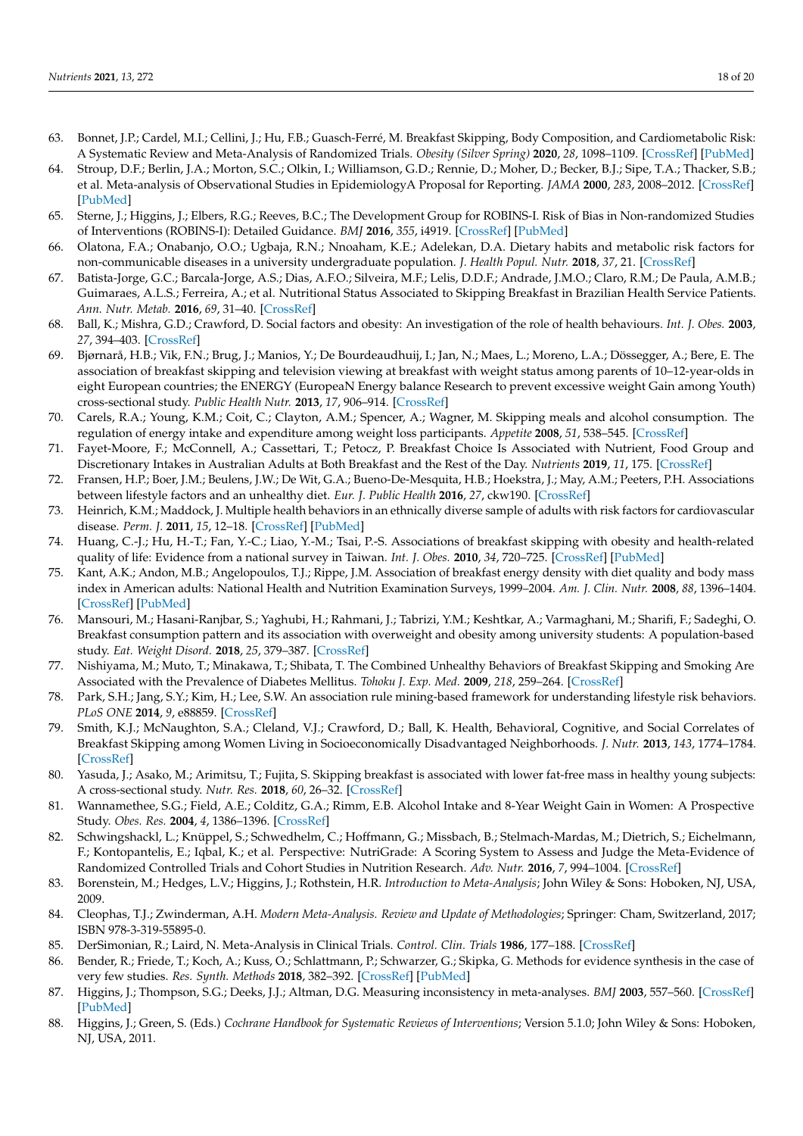- <span id="page-17-0"></span>63. Bonnet, J.P.; Cardel, M.I.; Cellini, J.; Hu, F.B.; Guasch-Ferré, M. Breakfast Skipping, Body Composition, and Cardiometabolic Risk: A Systematic Review and Meta-Analysis of Randomized Trials. *Obesity (Silver Spring)* **2020**, *28*, 1098–1109. [\[CrossRef\]](http://doi.org/10.1002/oby.22791) [\[PubMed\]](http://www.ncbi.nlm.nih.gov/pubmed/32304359)
- <span id="page-17-1"></span>64. Stroup, D.F.; Berlin, J.A.; Morton, S.C.; Olkin, I.; Williamson, G.D.; Rennie, D.; Moher, D.; Becker, B.J.; Sipe, T.A.; Thacker, S.B.; et al. Meta-analysis of Observational Studies in EpidemiologyA Proposal for Reporting. *JAMA* **2000**, *283*, 2008–2012. [\[CrossRef\]](http://doi.org/10.1001/jama.283.15.2008) [\[PubMed\]](http://www.ncbi.nlm.nih.gov/pubmed/10789670)
- <span id="page-17-2"></span>65. Sterne, J.; Higgins, J.; Elbers, R.G.; Reeves, B.C.; The Development Group for ROBINS-I. Risk of Bias in Non-randomized Studies of Interventions (ROBINS-I): Detailed Guidance. *BMJ* **2016**, *355*, i4919. [\[CrossRef\]](http://doi.org/10.1136/bmj.i4919) [\[PubMed\]](http://www.ncbi.nlm.nih.gov/pubmed/27733354)
- <span id="page-17-3"></span>66. Olatona, F.A.; Onabanjo, O.O.; Ugbaja, R.N.; Nnoaham, K.E.; Adelekan, D.A. Dietary habits and metabolic risk factors for non-communicable diseases in a university undergraduate population. *J. Health Popul. Nutr.* **2018**, *37*, 21. [\[CrossRef\]](http://doi.org/10.1186/s41043-018-0152-2)
- <span id="page-17-24"></span>67. Batista-Jorge, G.C.; Barcala-Jorge, A.S.; Dias, A.F.O.; Silveira, M.F.; Lelis, D.D.F.; Andrade, J.M.O.; Claro, R.M.; De Paula, A.M.B.; Guimaraes, A.L.S.; Ferreira, A.; et al. Nutritional Status Associated to Skipping Breakfast in Brazilian Health Service Patients. *Ann. Nutr. Metab.* **2016**, *69*, 31–40. [\[CrossRef\]](http://doi.org/10.1159/000447363)
- <span id="page-17-22"></span>68. Ball, K.; Mishra, G.D.; Crawford, D. Social factors and obesity: An investigation of the role of health behaviours. *Int. J. Obes.* **2003**, *27*, 394–403. [\[CrossRef\]](http://doi.org/10.1038/sj.ijo.0802237)
- 69. Bjørnarå, H.B.; Vik, F.N.; Brug, J.; Manios, Y.; De Bourdeaudhuij, I.; Jan, N.; Maes, L.; Moreno, L.A.; Dössegger, A.; Bere, E. The association of breakfast skipping and television viewing at breakfast with weight status among parents of 10–12-year-olds in eight European countries; the ENERGY (EuropeaN Energy balance Research to prevent excessive weight Gain among Youth) cross-sectional study. *Public Health Nutr.* **2013**, *17*, 906–914. [\[CrossRef\]](http://doi.org/10.1017/s136898001300061x)
- <span id="page-17-18"></span>70. Carels, R.A.; Young, K.M.; Coit, C.; Clayton, A.M.; Spencer, A.; Wagner, M. Skipping meals and alcohol consumption. The regulation of energy intake and expenditure among weight loss participants. *Appetite* **2008**, *51*, 538–545. [\[CrossRef\]](http://doi.org/10.1016/j.appet.2008.04.006)
- <span id="page-17-12"></span>71. Fayet-Moore, F.; McConnell, A.; Cassettari, T.; Petocz, P. Breakfast Choice Is Associated with Nutrient, Food Group and Discretionary Intakes in Australian Adults at Both Breakfast and the Rest of the Day. *Nutrients* **2019**, *11*, 175. [\[CrossRef\]](http://doi.org/10.3390/nu11010175)
- <span id="page-17-23"></span>72. Fransen, H.P.; Boer, J.M.; Beulens, J.W.; De Wit, G.A.; Bueno-De-Mesquita, H.B.; Hoekstra, J.; May, A.M.; Peeters, P.H. Associations between lifestyle factors and an unhealthy diet. *Eur. J. Public Health* **2016**, *27*, ckw190. [\[CrossRef\]](http://doi.org/10.1093/eurpub/ckw190)
- <span id="page-17-21"></span>73. Heinrich, K.M.; Maddock, J. Multiple health behaviors in an ethnically diverse sample of adults with risk factors for cardiovascular disease. *Perm. J.* **2011**, *15*, 12–18. [\[CrossRef\]](http://doi.org/10.7812/TPP/10.082) [\[PubMed\]](http://www.ncbi.nlm.nih.gov/pubmed/21505612)
- <span id="page-17-14"></span>74. Huang, C.-J.; Hu, H.-T.; Fan, Y.-C.; Liao, Y.-M.; Tsai, P.-S. Associations of breakfast skipping with obesity and health-related quality of life: Evidence from a national survey in Taiwan. *Int. J. Obes.* **2010**, *34*, 720–725. [\[CrossRef\]](http://doi.org/10.1038/ijo.2009.285) [\[PubMed\]](http://www.ncbi.nlm.nih.gov/pubmed/20065977)
- <span id="page-17-13"></span>75. Kant, A.K.; Andon, M.B.; Angelopoulos, T.J.; Rippe, J.M. Association of breakfast energy density with diet quality and body mass index in American adults: National Health and Nutrition Examination Surveys, 1999–2004. *Am. J. Clin. Nutr.* **2008**, *88*, 1396–1404. [\[CrossRef\]](http://doi.org/10.3945/ajcn.2008.26171) [\[PubMed\]](http://www.ncbi.nlm.nih.gov/pubmed/18996877)
- <span id="page-17-15"></span>76. Mansouri, M.; Hasani-Ranjbar, S.; Yaghubi, H.; Rahmani, J.; Tabrizi, Y.M.; Keshtkar, A.; Varmaghani, M.; Sharifi, F.; Sadeghi, O. Breakfast consumption pattern and its association with overweight and obesity among university students: A population-based study. *Eat. Weight Disord.* **2018**, *25*, 379–387. [\[CrossRef\]](http://doi.org/10.1007/s40519-018-0609-8)
- <span id="page-17-19"></span>77. Nishiyama, M.; Muto, T.; Minakawa, T.; Shibata, T. The Combined Unhealthy Behaviors of Breakfast Skipping and Smoking Are Associated with the Prevalence of Diabetes Mellitus. *Tohoku J. Exp. Med.* **2009**, *218*, 259–264. [\[CrossRef\]](http://doi.org/10.1620/tjem.218.259)
- <span id="page-17-16"></span>78. Park, S.H.; Jang, S.Y.; Kim, H.; Lee, S.W. An association rule mining-based framework for understanding lifestyle risk behaviors. *PLoS ONE* **2014**, *9*, e88859. [\[CrossRef\]](http://doi.org/10.1371/journal.pone.0088859)
- <span id="page-17-20"></span>79. Smith, K.J.; McNaughton, S.A.; Cleland, V.J.; Crawford, D.; Ball, K. Health, Behavioral, Cognitive, and Social Correlates of Breakfast Skipping among Women Living in Socioeconomically Disadvantaged Neighborhoods. *J. Nutr.* **2013**, *143*, 1774–1784. [\[CrossRef\]](http://doi.org/10.3945/jn.113.181396)
- <span id="page-17-17"></span>80. Yasuda, J.; Asako, M.; Arimitsu, T.; Fujita, S. Skipping breakfast is associated with lower fat-free mass in healthy young subjects: A cross-sectional study. *Nutr. Res.* **2018**, *60*, 26–32. [\[CrossRef\]](http://doi.org/10.1016/j.nutres.2018.09.006)
- <span id="page-17-4"></span>81. Wannamethee, S.G.; Field, A.E.; Colditz, G.A.; Rimm, E.B. Alcohol Intake and 8-Year Weight Gain in Women: A Prospective Study. *Obes. Res.* **2004**, *4*, 1386–1396. [\[CrossRef\]](http://doi.org/10.1038/oby.2004.175)
- <span id="page-17-5"></span>82. Schwingshackl, L.; Knüppel, S.; Schwedhelm, C.; Hoffmann, G.; Missbach, B.; Stelmach-Mardas, M.; Dietrich, S.; Eichelmann, F.; Kontopantelis, E.; Iqbal, K.; et al. Perspective: NutriGrade: A Scoring System to Assess and Judge the Meta-Evidence of Randomized Controlled Trials and Cohort Studies in Nutrition Research. *Adv. Nutr.* **2016**, *7*, 994–1004. [\[CrossRef\]](http://doi.org/10.3945/an.116.013052)
- <span id="page-17-6"></span>83. Borenstein, M.; Hedges, L.V.; Higgins, J.; Rothstein, H.R. *Introduction to Meta-Analysis*; John Wiley & Sons: Hoboken, NJ, USA, 2009.
- <span id="page-17-7"></span>84. Cleophas, T.J.; Zwinderman, A.H. *Modern Meta-Analysis. Review and Update of Methodologies*; Springer: Cham, Switzerland, 2017; ISBN 978-3-319-55895-0.
- <span id="page-17-8"></span>85. DerSimonian, R.; Laird, N. Meta-Analysis in Clinical Trials. *Control. Clin. Trials* **1986**, 177–188. [\[CrossRef\]](http://doi.org/10.1016/0197-2456(86)90046-2)
- <span id="page-17-9"></span>86. Bender, R.; Friede, T.; Koch, A.; Kuss, O.; Schlattmann, P.; Schwarzer, G.; Skipka, G. Methods for evidence synthesis in the case of very few studies. *Res. Synth. Methods* **2018**, 382–392. [\[CrossRef\]](http://doi.org/10.1002/jrsm.1297) [\[PubMed\]](http://www.ncbi.nlm.nih.gov/pubmed/29504289)
- <span id="page-17-10"></span>87. Higgins, J.; Thompson, S.G.; Deeks, J.J.; Altman, D.G. Measuring inconsistency in meta-analyses. *BMJ* **2003**, 557–560. [\[CrossRef\]](http://doi.org/10.1136/bmj.327.7414.557) [\[PubMed\]](http://www.ncbi.nlm.nih.gov/pubmed/12958120)
- <span id="page-17-11"></span>88. Higgins, J.; Green, S. (Eds.) *Cochrane Handbook for Systematic Reviews of Interventions*; Version 5.1.0; John Wiley & Sons: Hoboken, NJ, USA, 2011.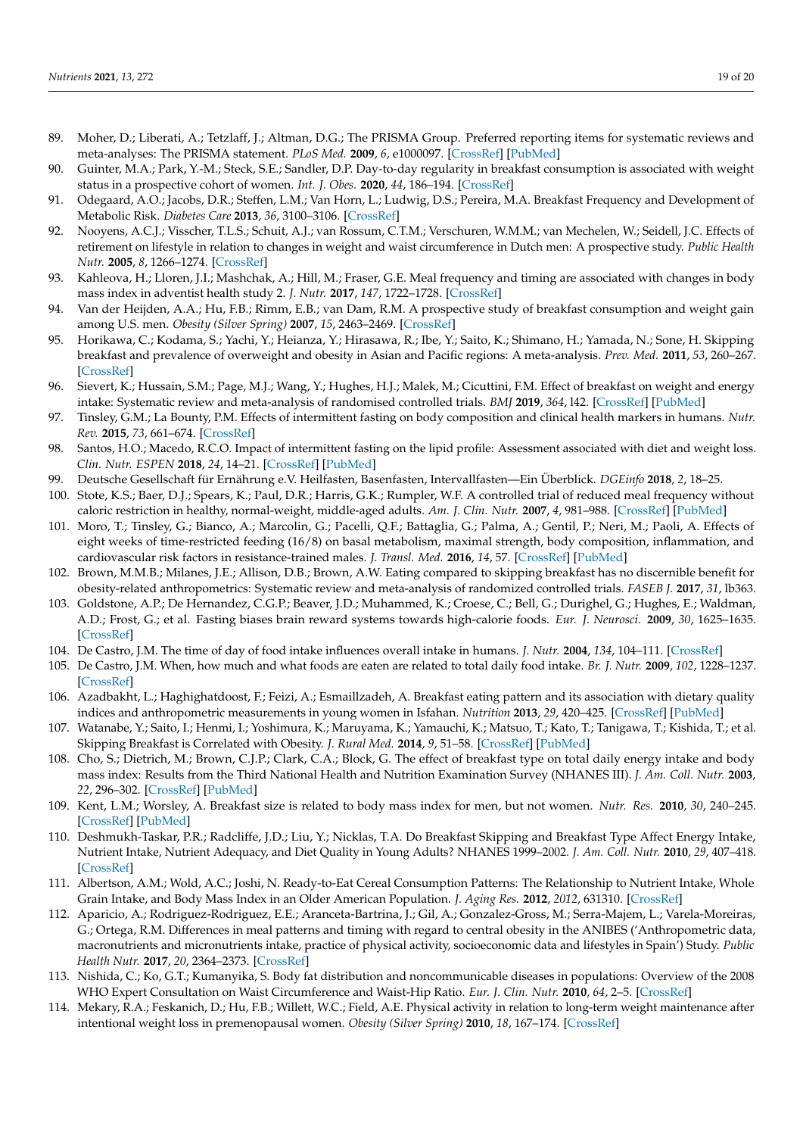- <span id="page-18-8"></span><span id="page-18-7"></span><span id="page-18-6"></span><span id="page-18-5"></span><span id="page-18-4"></span><span id="page-18-0"></span>89. Moher, D.; Liberati, A.; Tetzlaff, J.; Altman, D.G.; The PRISMA Group. Preferred reporting items for systematic reviews and meta-analyses: The PRISMA statement. *PLoS Med.* **2009**, *6*, e1000097. [\[CrossRef\]](http://doi.org/10.1371/journal.pmed.1000097) [\[PubMed\]](http://www.ncbi.nlm.nih.gov/pubmed/19621072)
- <span id="page-18-1"></span>90. Guinter, M.A.; Park, Y.-M.; Steck, S.E.; Sandler, D.P. Day-to-day regularity in breakfast consumption is associated with weight status in a prospective cohort of women. *Int. J. Obes.* **2020**, *44*, 186–194. [\[CrossRef\]](http://doi.org/10.1038/s41366-019-0356-6)
- <span id="page-18-2"></span>91. Odegaard, A.O.; Jacobs, D.R.; Steffen, L.M.; Van Horn, L.; Ludwig, D.S.; Pereira, M.A. Breakfast Frequency and Development of Metabolic Risk. *Diabetes Care* **2013**, *36*, 3100–3106. [\[CrossRef\]](http://doi.org/10.2337/dc13-0316)
- <span id="page-18-3"></span>92. Nooyens, A.C.J.; Visscher, T.L.S.; Schuit, A.J.; van Rossum, C.T.M.; Verschuren, W.M.M.; van Mechelen, W.; Seidell, J.C. Effects of retirement on lifestyle in relation to changes in weight and waist circumference in Dutch men: A prospective study. *Public Health Nutr.* **2005**, *8*, 1266–1274. [\[CrossRef\]](http://doi.org/10.1079/PHN2005756)
- <span id="page-18-10"></span>93. Kahleova, H.; Lloren, J.I.; Mashchak, A.; Hill, M.; Fraser, G.E. Meal frequency and timing are associated with changes in body mass index in adventist health study 2. *J. Nutr.* **2017**, *147*, 1722–1728. [\[CrossRef\]](http://doi.org/10.3945/jn.116.244749)
- <span id="page-18-9"></span>94. Van der Heijden, A.A.; Hu, F.B.; Rimm, E.B.; van Dam, R.M. A prospective study of breakfast consumption and weight gain among U.S. men. *Obesity (Silver Spring)* **2007**, *15*, 2463–2469. [\[CrossRef\]](http://doi.org/10.1038/oby.2007.292)
- <span id="page-18-11"></span>95. Horikawa, C.; Kodama, S.; Yachi, Y.; Heianza, Y.; Hirasawa, R.; Ibe, Y.; Saito, K.; Shimano, H.; Yamada, N.; Sone, H. Skipping breakfast and prevalence of overweight and obesity in Asian and Pacific regions: A meta-analysis. *Prev. Med.* **2011**, *53*, 260–267. [\[CrossRef\]](http://doi.org/10.1016/j.ypmed.2011.08.030)
- <span id="page-18-12"></span>96. Sievert, K.; Hussain, S.M.; Page, M.J.; Wang, Y.; Hughes, H.J.; Malek, M.; Cicuttini, F.M. Effect of breakfast on weight and energy intake: Systematic review and meta-analysis of randomised controlled trials. *BMJ* **2019**, *364*, l42. [\[CrossRef\]](http://doi.org/10.1136/bmj.l42) [\[PubMed\]](http://www.ncbi.nlm.nih.gov/pubmed/30700403)
- <span id="page-18-13"></span>97. Tinsley, G.M.; La Bounty, P.M. Effects of intermittent fasting on body composition and clinical health markers in humans. *Nutr. Rev.* **2015**, *73*, 661–674. [\[CrossRef\]](http://doi.org/10.1093/nutrit/nuv041)
- <span id="page-18-15"></span>98. Santos, H.O.; Macedo, R.C.O. Impact of intermittent fasting on the lipid profile: Assessment associated with diet and weight loss. *Clin. Nutr. ESPEN* **2018**, *24*, 14–21. [\[CrossRef\]](http://doi.org/10.1016/j.clnesp.2018.01.002) [\[PubMed\]](http://www.ncbi.nlm.nih.gov/pubmed/29576352)
- <span id="page-18-14"></span>99. Deutsche Gesellschaft für Ernährung e.V. Heilfasten, Basenfasten, Intervallfasten—Ein Überblick. *DGEinfo* **2018**, *2*, 18–25.
- <span id="page-18-16"></span>100. Stote, K.S.; Baer, D.J.; Spears, K.; Paul, D.R.; Harris, G.K.; Rumpler, W.F. A controlled trial of reduced meal frequency without caloric restriction in healthy, normal-weight, middle-aged adults. *Am. J. Clin. Nutr.* **2007**, *4*, 981–988. [\[CrossRef\]](http://doi.org/10.1093/ajcn/85.4.981) [\[PubMed\]](http://www.ncbi.nlm.nih.gov/pubmed/17413096)
- <span id="page-18-17"></span>101. Moro, T.; Tinsley, G.; Bianco, A.; Marcolin, G.; Pacelli, Q.F.; Battaglia, G.; Palma, A.; Gentil, P.; Neri, M.; Paoli, A. Effects of eight weeks of time-restricted feeding (16/8) on basal metabolism, maximal strength, body composition, inflammation, and cardiovascular risk factors in resistance-trained males. *J. Transl. Med.* **2016**, *14*, 57. [\[CrossRef\]](http://doi.org/10.1186/s12967-016-1044-0) [\[PubMed\]](http://www.ncbi.nlm.nih.gov/pubmed/27737674)
- <span id="page-18-18"></span>102. Brown, M.M.B.; Milanes, J.E.; Allison, D.B.; Brown, A.W. Eating compared to skipping breakfast has no discernible benefit for obesity-related anthropometrics: Systematic review and meta-analysis of randomized controlled trials. *FASEB J.* **2017**, *31*, lb363.
- <span id="page-18-19"></span>103. Goldstone, A.P.; De Hernandez, C.G.P.; Beaver, J.D.; Muhammed, K.; Croese, C.; Bell, G.; Durighel, G.; Hughes, E.; Waldman, A.D.; Frost, G.; et al. Fasting biases brain reward systems towards high-calorie foods. *Eur. J. Neurosci.* **2009**, *30*, 1625–1635. [\[CrossRef\]](http://doi.org/10.1111/j.1460-9568.2009.06949.x)
- <span id="page-18-20"></span>104. De Castro, J.M. The time of day of food intake influences overall intake in humans. *J. Nutr.* **2004**, *134*, 104–111. [\[CrossRef\]](http://doi.org/10.1093/jn/134.1.104)
- 105. De Castro, J.M. When, how much and what foods are eaten are related to total daily food intake. *Br. J. Nutr.* **2009**, *102*, 1228–1237. [\[CrossRef\]](http://doi.org/10.1017/S0007114509371640)
- <span id="page-18-21"></span>106. Azadbakht, L.; Haghighatdoost, F.; Feizi, A.; Esmaillzadeh, A. Breakfast eating pattern and its association with dietary quality indices and anthropometric measurements in young women in Isfahan. *Nutrition* **2013**, *29*, 420–425. [\[CrossRef\]](http://doi.org/10.1016/j.nut.2012.07.008) [\[PubMed\]](http://www.ncbi.nlm.nih.gov/pubmed/23312764)
- <span id="page-18-22"></span>107. Watanabe, Y.; Saito, I.; Henmi, I.; Yoshimura, K.; Maruyama, K.; Yamauchi, K.; Matsuo, T.; Kato, T.; Tanigawa, T.; Kishida, T.; et al. Skipping Breakfast is Correlated with Obesity. *J. Rural Med.* **2014**, *9*, 51–58. [\[CrossRef\]](http://doi.org/10.2185/jrm.2887) [\[PubMed\]](http://www.ncbi.nlm.nih.gov/pubmed/25648986)
- <span id="page-18-23"></span>108. Cho, S.; Dietrich, M.; Brown, C.J.P.; Clark, C.A.; Block, G. The effect of breakfast type on total daily energy intake and body mass index: Results from the Third National Health and Nutrition Examination Survey (NHANES III). *J. Am. Coll. Nutr.* **2003**, *22*, 296–302. [\[CrossRef\]](http://doi.org/10.1080/07315724.2003.10719307) [\[PubMed\]](http://www.ncbi.nlm.nih.gov/pubmed/12897044)
- <span id="page-18-24"></span>109. Kent, L.M.; Worsley, A. Breakfast size is related to body mass index for men, but not women. *Nutr. Res.* **2010**, *30*, 240–245. [\[CrossRef\]](http://doi.org/10.1016/j.nutres.2010.03.006) [\[PubMed\]](http://www.ncbi.nlm.nih.gov/pubmed/20534326)
- <span id="page-18-25"></span>110. Deshmukh-Taskar, P.R.; Radcliffe, J.D.; Liu, Y.; Nicklas, T.A. Do Breakfast Skipping and Breakfast Type Affect Energy Intake, Nutrient Intake, Nutrient Adequacy, and Diet Quality in Young Adults? NHANES 1999–2002. *J. Am. Coll. Nutr.* **2010**, *29*, 407–418. [\[CrossRef\]](http://doi.org/10.1080/07315724.2010.10719858)
- <span id="page-18-26"></span>111. Albertson, A.M.; Wold, A.C.; Joshi, N. Ready-to-Eat Cereal Consumption Patterns: The Relationship to Nutrient Intake, Whole Grain Intake, and Body Mass Index in an Older American Population. *J. Aging Res.* **2012**, *2012*, 631310. [\[CrossRef\]](http://doi.org/10.1155/2012/631310)
- <span id="page-18-27"></span>112. Aparicio, A.; Rodriguez-Rodriguez, E.E.; Aranceta-Bartrina, J.; Gil, A.; Gonzalez-Gross, M.; Serra-Majem, L.; Varela-Moreiras, G.; Ortega, R.M. Differences in meal patterns and timing with regard to central obesity in the ANIBES ('Anthropometric data, macronutrients and micronutrients intake, practice of physical activity, socioeconomic data and lifestyles in Spain') Study. *Public Health Nutr.* **2017**, *20*, 2364–2373. [\[CrossRef\]](http://doi.org/10.1017/S1368980017000635)
- <span id="page-18-28"></span>113. Nishida, C.; Ko, G.T.; Kumanyika, S. Body fat distribution and noncommunicable diseases in populations: Overview of the 2008 WHO Expert Consultation on Waist Circumference and Waist-Hip Ratio. *Eur. J. Clin. Nutr.* **2010**, *64*, 2–5. [\[CrossRef\]](http://doi.org/10.1038/ejcn.2009.139)
- <span id="page-18-29"></span>114. Mekary, R.A.; Feskanich, D.; Hu, F.B.; Willett, W.C.; Field, A.E. Physical activity in relation to long-term weight maintenance after intentional weight loss in premenopausal women. *Obesity (Silver Spring)* **2010**, *18*, 167–174. [\[CrossRef\]](http://doi.org/10.1038/oby.2009.170)